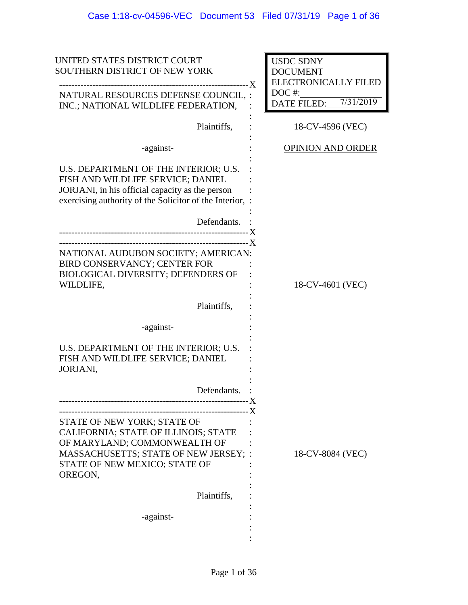| UNITED STATES DISTRICT COURT<br>SOUTHERN DISTRICT OF NEW YORK<br>------ X<br>-----------------------------------                                                                                       | <b>USDC SDNY</b><br><b>DOCUMENT</b><br><b>ELECTRONICALLY FILED</b> |
|--------------------------------------------------------------------------------------------------------------------------------------------------------------------------------------------------------|--------------------------------------------------------------------|
| NATURAL RESOURCES DEFENSE COUNCIL, :<br>INC.; NATIONAL WILDLIFE FEDERATION,                                                                                                                            | $DOC$ #:<br>7/31/2019<br>DATE FILED:                               |
| Plaintiffs,                                                                                                                                                                                            | 18-CV-4596 (VEC)                                                   |
| -against-                                                                                                                                                                                              | <b>OPINION AND ORDER</b>                                           |
| U.S. DEPARTMENT OF THE INTERIOR; U.S.<br>FISH AND WILDLIFE SERVICE; DANIEL<br>JORJANI, in his official capacity as the person<br>exercising authority of the Solicitor of the Interior,<br>Defendants. |                                                                    |
|                                                                                                                                                                                                        |                                                                    |
| NATIONAL AUDUBON SOCIETY; AMERICAN:<br>BIRD CONSERVANCY; CENTER FOR<br><b>BIOLOGICAL DIVERSITY; DEFENDERS OF</b><br>WILDLIFE,                                                                          | 18-CV-4601 (VEC)                                                   |
| Plaintiffs,                                                                                                                                                                                            |                                                                    |
| -against-                                                                                                                                                                                              |                                                                    |
| U.S. DEPARTMENT OF THE INTERIOR; U.S.<br>FISH AND WILDLIFE SERVICE; DANIEL<br>JORJANI,                                                                                                                 |                                                                    |
| Defendants.                                                                                                                                                                                            |                                                                    |
|                                                                                                                                                                                                        |                                                                    |
| STATE OF NEW YORK; STATE OF<br><b>CALIFORNIA; STATE OF ILLINOIS; STATE</b><br>OF MARYLAND; COMMONWEALTH OF<br>MASSACHUSETTS; STATE OF NEW JERSEY; :<br>STATE OF NEW MEXICO; STATE OF<br>OREGON,        | 18-CV-8084 (VEC)                                                   |
| Plaintiffs,                                                                                                                                                                                            |                                                                    |
| -against-                                                                                                                                                                                              |                                                                    |
|                                                                                                                                                                                                        |                                                                    |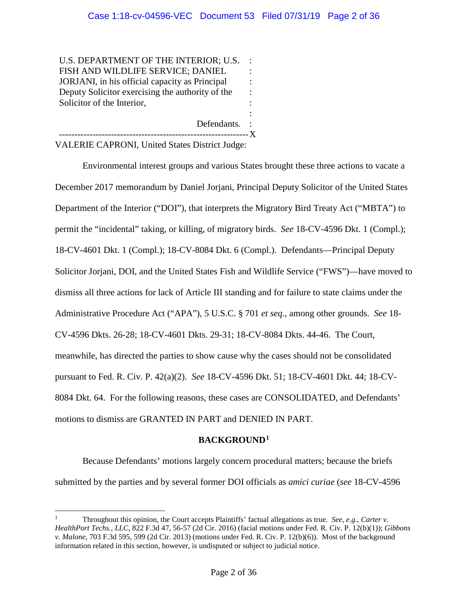:

U.S. DEPARTMENT OF THE INTERIOR; U.S. FISH AND WILDLIFE SERVICE; DANIEL JORJANI, in his official capacity as Principal Deputy Solicitor exercising the authority of the Solicitor of the Interior, : : : : :

Defendants. : -------------------------------------------------------------- X

VALERIE CAPRONI, United States District Judge:

Environmental interest groups and various States brought these three actions to vacate a December 2017 memorandum by Daniel Jorjani, Principal Deputy Solicitor of the United States Department of the Interior ("DOI"), that interprets the Migratory Bird Treaty Act ("MBTA") to permit the "incidental" taking, or killing, of migratory birds. *See* 18-CV-4596 Dkt. 1 (Compl.); 18-CV-4601 Dkt. 1 (Compl.); 18-CV-8084 Dkt. 6 (Compl.). Defendants—Principal Deputy Solicitor Jorjani, DOI, and the United States Fish and Wildlife Service ("FWS")—have moved to dismiss all three actions for lack of Article III standing and for failure to state claims under the Administrative Procedure Act ("APA"), 5 U.S.C. § 701 *et seq.*, among other grounds. *See* 18- CV-4596 Dkts. 26-28; 18-CV-4601 Dkts. 29-31; 18-CV-8084 Dkts. 44-46. The Court, meanwhile, has directed the parties to show cause why the cases should not be consolidated pursuant to Fed. R. Civ. P. 42(a)(2). *See* 18-CV-4596 Dkt. 51; 18-CV-4601 Dkt. 44; 18-CV-8084 Dkt. 64. For the following reasons, these cases are CONSOLIDATED, and Defendants' motions to dismiss are GRANTED IN PART and DENIED IN PART.

# **BACKGROUND1**

Because Defendants' motions largely concern procedural matters; because the briefs submitted by the parties and by several former DOI officials as *amici curiae* (*see* 18-CV-4596

 $\overline{a}$ 1 Throughout this opinion, the Court accepts Plaintiffs' factual allegations as true. *See, e.g.*, *Carter v. HealthPort Techs., LLC*, 822 F.3d 47, 56-57 (2d Cir. 2016) (facial motions under Fed. R. Civ. P. 12(b)(1)); *Gibbons v. Malone*, 703 F.3d 595, 599 (2d Cir. 2013) (motions under Fed. R. Civ. P. 12(b)(6)). Most of the background information related in this section, however, is undisputed or subject to judicial notice.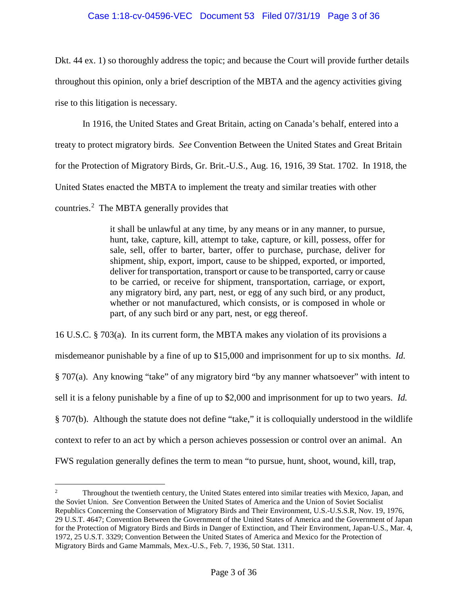# Case 1:18-cv-04596-VEC Document 53 Filed 07/31/19 Page 3 of 36

Dkt. 44 ex. 1) so thoroughly address the topic; and because the Court will provide further details throughout this opinion, only a brief description of the MBTA and the agency activities giving rise to this litigation is necessary.

In 1916, the United States and Great Britain, acting on Canada's behalf, entered into a treaty to protect migratory birds. *See* Convention Between the United States and Great Britain for the Protection of Migratory Birds, Gr. Brit.-U.S., Aug. 16, 1916, 39 Stat. 1702. In 1918, the United States enacted the MBTA to implement the treaty and similar treaties with other countries.<sup>2</sup> The MBTA generally provides that

> it shall be unlawful at any time, by any means or in any manner, to pursue, hunt, take, capture, kill, attempt to take, capture, or kill, possess, offer for sale, sell, offer to barter, barter, offer to purchase, purchase, deliver for shipment, ship, export, import, cause to be shipped, exported, or imported, deliver for transportation, transport or cause to be transported, carry or cause to be carried, or receive for shipment, transportation, carriage, or export, any migratory bird, any part, nest, or egg of any such bird, or any product, whether or not manufactured, which consists, or is composed in whole or part, of any such bird or any part, nest, or egg thereof.

16 U.S.C. § 703(a). In its current form, the MBTA makes any violation of its provisions a misdemeanor punishable by a fine of up to \$15,000 and imprisonment for up to six months. *Id.* § 707(a). Any knowing "take" of any migratory bird "by any manner whatsoever" with intent to sell it is a felony punishable by a fine of up to \$2,000 and imprisonment for up to two years. *Id.* § 707(b). Although the statute does not define "take," it is colloquially understood in the wildlife context to refer to an act by which a person achieves possession or control over an animal. An FWS regulation generally defines the term to mean "to pursue, hunt, shoot, wound, kill, trap,

 $\frac{1}{2}$  Throughout the twentieth century, the United States entered into similar treaties with Mexico, Japan, and the Soviet Union. *See* Convention Between the United States of America and the Union of Soviet Socialist Republics Concerning the Conservation of Migratory Birds and Their Environment, U.S.-U.S.S.R, Nov. 19, 1976, 29 U.S.T. 4647; Convention Between the Government of the United States of America and the Government of Japan for the Protection of Migratory Birds and Birds in Danger of Extinction, and Their Environment, Japan-U.S., Mar. 4, 1972, 25 U.S.T. 3329; Convention Between the United States of America and Mexico for the Protection of Migratory Birds and Game Mammals, Mex.-U.S., Feb. 7, 1936, 50 Stat. 1311.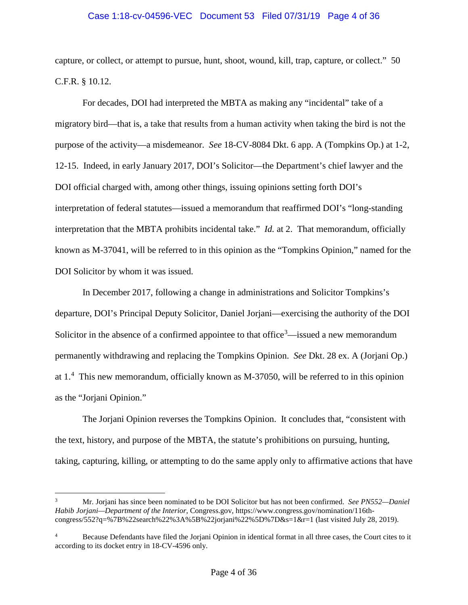## Case 1:18-cv-04596-VEC Document 53 Filed 07/31/19 Page 4 of 36

capture, or collect, or attempt to pursue, hunt, shoot, wound, kill, trap, capture, or collect." 50 C.F.R. § 10.12.

For decades, DOI had interpreted the MBTA as making any "incidental" take of a migratory bird—that is, a take that results from a human activity when taking the bird is not the purpose of the activity—a misdemeanor. *See* 18-CV-8084 Dkt. 6 app. A (Tompkins Op.) at 1-2, 12-15. Indeed, in early January 2017, DOI's Solicitor—the Department's chief lawyer and the DOI official charged with, among other things, issuing opinions setting forth DOI's interpretation of federal statutes—issued a memorandum that reaffirmed DOI's "long-standing interpretation that the MBTA prohibits incidental take." *Id.* at 2. That memorandum, officially known as M-37041, will be referred to in this opinion as the "Tompkins Opinion," named for the DOI Solicitor by whom it was issued.

In December 2017, following a change in administrations and Solicitor Tompkins's departure, DOI's Principal Deputy Solicitor, Daniel Jorjani—exercising the authority of the DOI Solicitor in the absence of a confirmed appointee to that office<sup>3</sup>—issued a new memorandum permanently withdrawing and replacing the Tompkins Opinion. *See* Dkt. 28 ex. A (Jorjani Op.) at 1.<sup>4</sup> This new memorandum, officially known as M-37050, will be referred to in this opinion as the "Jorjani Opinion."

The Jorjani Opinion reverses the Tompkins Opinion. It concludes that, "consistent with the text, history, and purpose of the MBTA, the statute's prohibitions on pursuing, hunting, taking, capturing, killing, or attempting to do the same apply only to affirmative actions that have

 $\overline{a}$ 

<sup>3</sup> Mr. Jorjani has since been nominated to be DOI Solicitor but has not been confirmed. *See PN552—Daniel Habib Jorjani—Department of the Interior*, Congress.gov, https://www.congress.gov/nomination/116thcongress/552?q=%7B%22search%22%3A%5B%22jorjani%22%5D%7D&s=1&r=1 (last visited July 28, 2019).

<sup>4</sup> Because Defendants have filed the Jorjani Opinion in identical format in all three cases, the Court cites to it according to its docket entry in 18-CV-4596 only.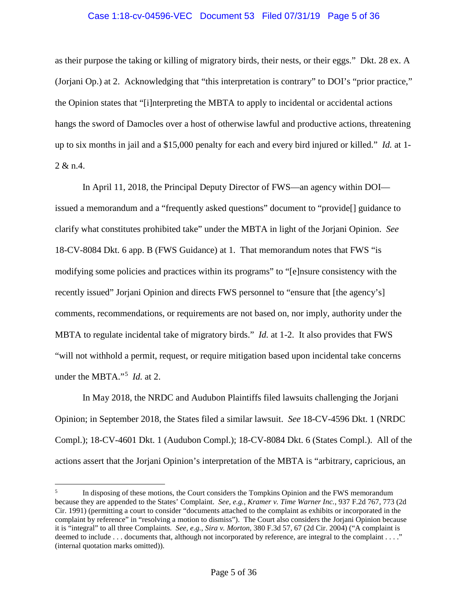### Case 1:18-cv-04596-VEC Document 53 Filed 07/31/19 Page 5 of 36

as their purpose the taking or killing of migratory birds, their nests, or their eggs." Dkt. 28 ex. A (Jorjani Op.) at 2. Acknowledging that "this interpretation is contrary" to DOI's "prior practice," the Opinion states that "[i]nterpreting the MBTA to apply to incidental or accidental actions hangs the sword of Damocles over a host of otherwise lawful and productive actions, threatening up to six months in jail and a \$15,000 penalty for each and every bird injured or killed." *Id.* at 1- 2 & n.4.

In April 11, 2018, the Principal Deputy Director of FWS—an agency within DOI issued a memorandum and a "frequently asked questions" document to "provide[] guidance to clarify what constitutes prohibited take" under the MBTA in light of the Jorjani Opinion. *See*  18-CV-8084 Dkt. 6 app. B (FWS Guidance) at 1. That memorandum notes that FWS "is modifying some policies and practices within its programs" to "[e]nsure consistency with the recently issued" Jorjani Opinion and directs FWS personnel to "ensure that [the agency's] comments, recommendations, or requirements are not based on, nor imply, authority under the MBTA to regulate incidental take of migratory birds." *Id.* at 1-2. It also provides that FWS "will not withhold a permit, request, or require mitigation based upon incidental take concerns under the MBTA."<sup>5</sup> *Id.* at 2.

In May 2018, the NRDC and Audubon Plaintiffs filed lawsuits challenging the Jorjani Opinion; in September 2018, the States filed a similar lawsuit. *See* 18-CV-4596 Dkt. 1 (NRDC Compl.); 18-CV-4601 Dkt. 1 (Audubon Compl.); 18-CV-8084 Dkt. 6 (States Compl.). All of the actions assert that the Jorjani Opinion's interpretation of the MBTA is "arbitrary, capricious, an

 $\frac{1}{5}$  In disposing of these motions, the Court considers the Tompkins Opinion and the FWS memorandum because they are appended to the States' Complaint. *See, e.g.*, *Kramer v. Time Warner Inc.*, 937 F.2d 767, 773 (2d Cir. 1991) (permitting a court to consider "documents attached to the complaint as exhibits or incorporated in the complaint by reference" in "resolving a motion to dismiss"). The Court also considers the Jorjani Opinion because it is "integral" to all three Complaints. *See, e.g.*, *Sira v. Morton*, 380 F.3d 57, 67 (2d Cir. 2004) ("A complaint is deemed to include . . . documents that, although not incorporated by reference, are integral to the complaint . . . ." (internal quotation marks omitted)).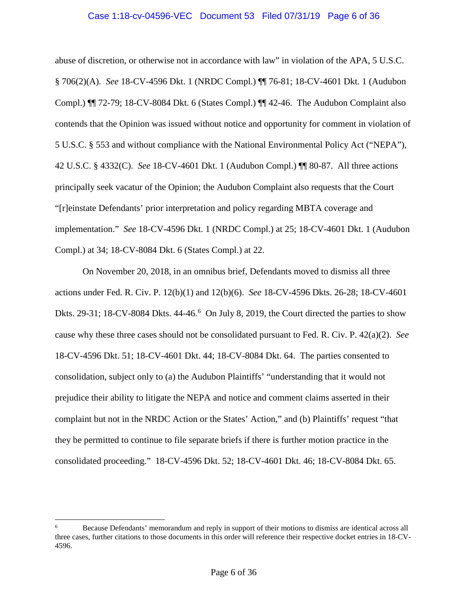### Case 1:18-cv-04596-VEC Document 53 Filed 07/31/19 Page 6 of 36

abuse of discretion, or otherwise not in accordance with law" in violation of the APA, 5 U.S.C. § 706(2)(A). *See* 18-CV-4596 Dkt. 1 (NRDC Compl.) ¶¶ 76-81; 18-CV-4601 Dkt. 1 (Audubon Compl.) ¶¶ 72-79; 18-CV-8084 Dkt. 6 (States Compl.) ¶¶ 42-46. The Audubon Complaint also contends that the Opinion was issued without notice and opportunity for comment in violation of 5 U.S.C. § 553 and without compliance with the National Environmental Policy Act ("NEPA"), 42 U.S.C. § 4332(C). *See* 18-CV-4601 Dkt. 1 (Audubon Compl.) ¶¶ 80-87. All three actions principally seek vacatur of the Opinion; the Audubon Complaint also requests that the Court "[r]einstate Defendants' prior interpretation and policy regarding MBTA coverage and implementation." *See* 18-CV-4596 Dkt. 1 (NRDC Compl.) at 25; 18-CV-4601 Dkt. 1 (Audubon Compl.) at 34; 18-CV-8084 Dkt. 6 (States Compl.) at 22.

On November 20, 2018, in an omnibus brief, Defendants moved to dismiss all three actions under Fed. R. Civ. P. 12(b)(1) and 12(b)(6). *See* 18-CV-4596 Dkts. 26-28; 18-CV-4601 Dkts. 29-31; 18-CV-8084 Dkts.  $44-46.6$  On July 8, 2019, the Court directed the parties to show cause why these three cases should not be consolidated pursuant to Fed. R. Civ. P. 42(a)(2). *See*  18-CV-4596 Dkt. 51; 18-CV-4601 Dkt. 44; 18-CV-8084 Dkt. 64. The parties consented to consolidation, subject only to (a) the Audubon Plaintiffs' "understanding that it would not prejudice their ability to litigate the NEPA and notice and comment claims asserted in their complaint but not in the NRDC Action or the States' Action," and (b) Plaintiffs' request "that they be permitted to continue to file separate briefs if there is further motion practice in the consolidated proceeding." 18-CV-4596 Dkt. 52; 18-CV-4601 Dkt. 46; 18-CV-8084 Dkt. 65.

 $\overline{a}$ 

<sup>6</sup> Because Defendants' memorandum and reply in support of their motions to dismiss are identical across all three cases, further citations to those documents in this order will reference their respective docket entries in 18-CV-4596.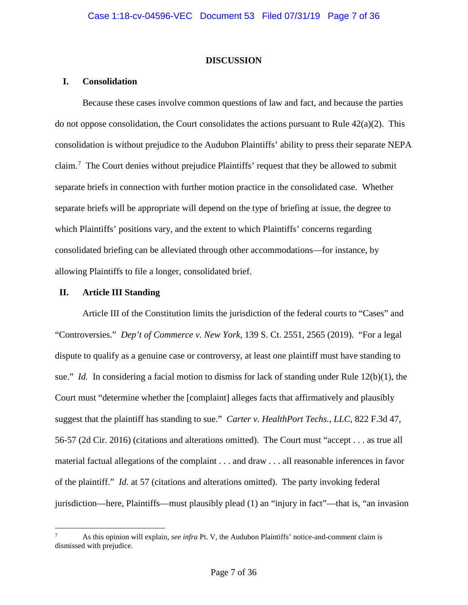## **DISCUSSION**

# **I. Consolidation**

Because these cases involve common questions of law and fact, and because the parties do not oppose consolidation, the Court consolidates the actions pursuant to Rule  $42(a)(2)$ . This consolidation is without prejudice to the Audubon Plaintiffs' ability to press their separate NEPA claim.<sup>7</sup> The Court denies without prejudice Plaintiffs' request that they be allowed to submit separate briefs in connection with further motion practice in the consolidated case. Whether separate briefs will be appropriate will depend on the type of briefing at issue, the degree to which Plaintiffs' positions vary, and the extent to which Plaintiffs' concerns regarding consolidated briefing can be alleviated through other accommodations—for instance, by allowing Plaintiffs to file a longer, consolidated brief.

# **II. Article III Standing**

Article III of the Constitution limits the jurisdiction of the federal courts to "Cases" and "Controversies." *Dep't of Commerce v. New York*, 139 S. Ct. 2551, 2565 (2019). "For a legal dispute to qualify as a genuine case or controversy, at least one plaintiff must have standing to sue." *Id.* In considering a facial motion to dismiss for lack of standing under Rule 12(b)(1), the Court must "determine whether the [complaint] alleges facts that affirmatively and plausibly suggest that the plaintiff has standing to sue." *Carter v. HealthPort Techs., LLC*, 822 F.3d 47, 56-57 (2d Cir. 2016) (citations and alterations omitted). The Court must "accept . . . as true all material factual allegations of the complaint . . . and draw . . . all reasonable inferences in favor of the plaintiff." *Id.* at 57 (citations and alterations omitted). The party invoking federal jurisdiction—here, Plaintiffs—must plausibly plead (1) an "injury in fact"—that is, "an invasion

 $\overline{a}$ 7 As this opinion will explain, *see infra* Pt. V, the Audubon Plaintiffs' notice-and-comment claim is dismissed with prejudice.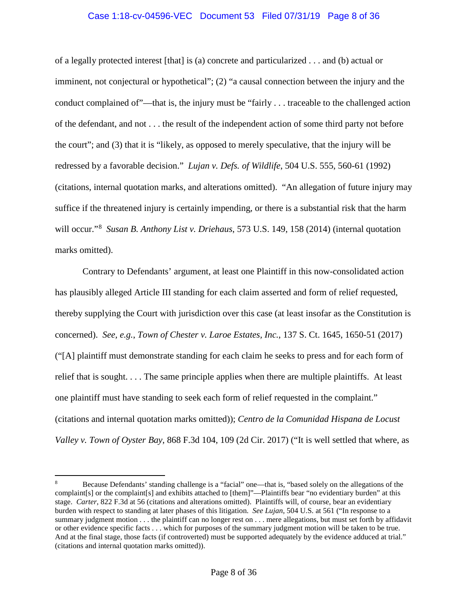## Case 1:18-cv-04596-VEC Document 53 Filed 07/31/19 Page 8 of 36

of a legally protected interest [that] is (a) concrete and particularized . . . and (b) actual or imminent, not conjectural or hypothetical"; (2) "a causal connection between the injury and the conduct complained of"—that is, the injury must be "fairly . . . traceable to the challenged action of the defendant, and not . . . the result of the independent action of some third party not before the court"; and (3) that it is "likely, as opposed to merely speculative, that the injury will be redressed by a favorable decision." *Lujan v. Defs. of Wildlife*, 504 U.S. 555, 560-61 (1992) (citations, internal quotation marks, and alterations omitted). "An allegation of future injury may suffice if the threatened injury is certainly impending, or there is a substantial risk that the harm will occur."<sup>8</sup> *Susan B. Anthony List v. Driehaus*, 573 U.S. 149, 158 (2014) (internal quotation marks omitted).

Contrary to Defendants' argument, at least one Plaintiff in this now-consolidated action has plausibly alleged Article III standing for each claim asserted and form of relief requested, thereby supplying the Court with jurisdiction over this case (at least insofar as the Constitution is concerned). *See, e.g.*, *Town of Chester v. Laroe Estates, Inc.*, 137 S. Ct. 1645, 1650-51 (2017) ("[A] plaintiff must demonstrate standing for each claim he seeks to press and for each form of relief that is sought. . . . The same principle applies when there are multiple plaintiffs. At least one plaintiff must have standing to seek each form of relief requested in the complaint." (citations and internal quotation marks omitted)); *Centro de la Comunidad Hispana de Locust Valley v. Town of Oyster Bay*, 868 F.3d 104, 109 (2d Cir. 2017) ("It is well settled that where, as

 $\overline{a}$ 

<sup>8</sup> Because Defendants' standing challenge is a "facial" one—that is, "based solely on the allegations of the complaint[s] or the complaint[s] and exhibits attached to [them]"—Plaintiffs bear "no evidentiary burden" at this stage. *Carter*, 822 F.3d at 56 (citations and alterations omitted). Plaintiffs will, of course, bear an evidentiary burden with respect to standing at later phases of this litigation. *See Lujan*, 504 U.S. at 561 ("In response to a summary judgment motion . . . the plaintiff can no longer rest on . . . mere allegations, but must set forth by affidavit or other evidence specific facts . . . which for purposes of the summary judgment motion will be taken to be true. And at the final stage, those facts (if controverted) must be supported adequately by the evidence adduced at trial." (citations and internal quotation marks omitted)).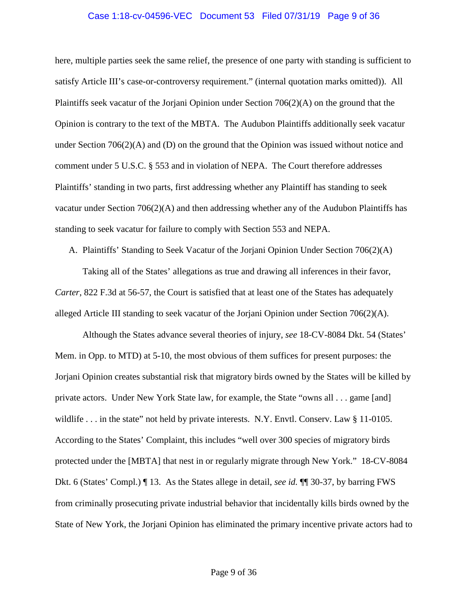#### Case 1:18-cv-04596-VEC Document 53 Filed 07/31/19 Page 9 of 36

here, multiple parties seek the same relief, the presence of one party with standing is sufficient to satisfy Article III's case-or-controversy requirement." (internal quotation marks omitted)). All Plaintiffs seek vacatur of the Jorjani Opinion under Section 706(2)(A) on the ground that the Opinion is contrary to the text of the MBTA. The Audubon Plaintiffs additionally seek vacatur under Section  $706(2)(A)$  and (D) on the ground that the Opinion was issued without notice and comment under 5 U.S.C. § 553 and in violation of NEPA. The Court therefore addresses Plaintiffs' standing in two parts, first addressing whether any Plaintiff has standing to seek vacatur under Section  $706(2)(A)$  and then addressing whether any of the Audubon Plaintiffs has standing to seek vacatur for failure to comply with Section 553 and NEPA.

A. Plaintiffs' Standing to Seek Vacatur of the Jorjani Opinion Under Section 706(2)(A)

Taking all of the States' allegations as true and drawing all inferences in their favor, *Carter*, 822 F.3d at 56-57, the Court is satisfied that at least one of the States has adequately alleged Article III standing to seek vacatur of the Jorjani Opinion under Section 706(2)(A).

Although the States advance several theories of injury, *see* 18-CV-8084 Dkt. 54 (States' Mem. in Opp. to MTD) at 5-10, the most obvious of them suffices for present purposes: the Jorjani Opinion creates substantial risk that migratory birds owned by the States will be killed by private actors. Under New York State law, for example, the State "owns all . . . game [and] wildlife . . . in the state" not held by private interests. N.Y. Envtl. Conserv. Law § 11-0105. According to the States' Complaint, this includes "well over 300 species of migratory birds protected under the [MBTA] that nest in or regularly migrate through New York." 18-CV-8084 Dkt. 6 (States' Compl.) ¶ 13. As the States allege in detail, *see id.* ¶¶ 30-37, by barring FWS from criminally prosecuting private industrial behavior that incidentally kills birds owned by the State of New York, the Jorjani Opinion has eliminated the primary incentive private actors had to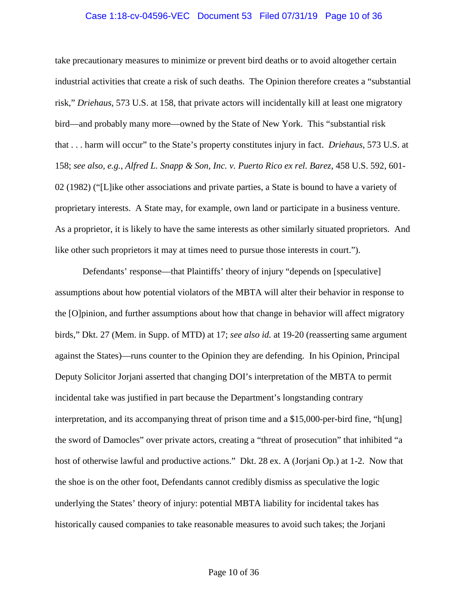#### Case 1:18-cv-04596-VEC Document 53 Filed 07/31/19 Page 10 of 36

take precautionary measures to minimize or prevent bird deaths or to avoid altogether certain industrial activities that create a risk of such deaths. The Opinion therefore creates a "substantial risk," *Driehaus*, 573 U.S. at 158, that private actors will incidentally kill at least one migratory bird—and probably many more—owned by the State of New York. This "substantial risk that . . . harm will occur" to the State's property constitutes injury in fact. *Driehaus*, 573 U.S. at 158; *see also, e.g.*, *Alfred L. Snapp & Son, Inc. v. Puerto Rico ex rel. Barez*, 458 U.S. 592, 601- 02 (1982) ("[L]ike other associations and private parties, a State is bound to have a variety of proprietary interests. A State may, for example, own land or participate in a business venture. As a proprietor, it is likely to have the same interests as other similarly situated proprietors. And like other such proprietors it may at times need to pursue those interests in court.").

Defendants' response—that Plaintiffs' theory of injury "depends on [speculative] assumptions about how potential violators of the MBTA will alter their behavior in response to the [O]pinion, and further assumptions about how that change in behavior will affect migratory birds," Dkt. 27 (Mem. in Supp. of MTD) at 17; *see also id.* at 19-20 (reasserting same argument against the States)—runs counter to the Opinion they are defending. In his Opinion, Principal Deputy Solicitor Jorjani asserted that changing DOI's interpretation of the MBTA to permit incidental take was justified in part because the Department's longstanding contrary interpretation, and its accompanying threat of prison time and a \$15,000-per-bird fine, "h[ung] the sword of Damocles" over private actors, creating a "threat of prosecution" that inhibited "a host of otherwise lawful and productive actions." Dkt. 28 ex. A (Jorjani Op.) at 1-2. Now that the shoe is on the other foot, Defendants cannot credibly dismiss as speculative the logic underlying the States' theory of injury: potential MBTA liability for incidental takes has historically caused companies to take reasonable measures to avoid such takes; the Jorjani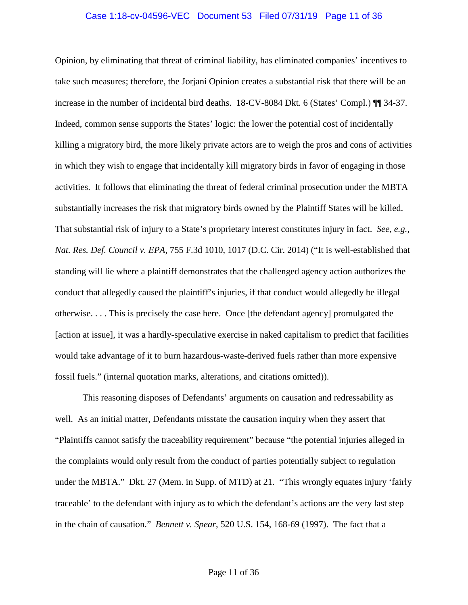#### Case 1:18-cv-04596-VEC Document 53 Filed 07/31/19 Page 11 of 36

Opinion, by eliminating that threat of criminal liability, has eliminated companies' incentives to take such measures; therefore, the Jorjani Opinion creates a substantial risk that there will be an increase in the number of incidental bird deaths. 18-CV-8084 Dkt. 6 (States' Compl.) ¶¶ 34-37. Indeed, common sense supports the States' logic: the lower the potential cost of incidentally killing a migratory bird, the more likely private actors are to weigh the pros and cons of activities in which they wish to engage that incidentally kill migratory birds in favor of engaging in those activities. It follows that eliminating the threat of federal criminal prosecution under the MBTA substantially increases the risk that migratory birds owned by the Plaintiff States will be killed. That substantial risk of injury to a State's proprietary interest constitutes injury in fact. *See, e.g.*, *Nat. Res. Def. Council v. EPA*, 755 F.3d 1010, 1017 (D.C. Cir. 2014) ("It is well-established that standing will lie where a plaintiff demonstrates that the challenged agency action authorizes the conduct that allegedly caused the plaintiff's injuries, if that conduct would allegedly be illegal otherwise. . . . This is precisely the case here. Once [the defendant agency] promulgated the [action at issue], it was a hardly-speculative exercise in naked capitalism to predict that facilities would take advantage of it to burn hazardous-waste-derived fuels rather than more expensive fossil fuels." (internal quotation marks, alterations, and citations omitted)).

This reasoning disposes of Defendants' arguments on causation and redressability as well. As an initial matter, Defendants misstate the causation inquiry when they assert that "Plaintiffs cannot satisfy the traceability requirement" because "the potential injuries alleged in the complaints would only result from the conduct of parties potentially subject to regulation under the MBTA." Dkt. 27 (Mem. in Supp. of MTD) at 21. "This wrongly equates injury 'fairly traceable' to the defendant with injury as to which the defendant's actions are the very last step in the chain of causation." *Bennett v. Spear*, 520 U.S. 154, 168-69 (1997). The fact that a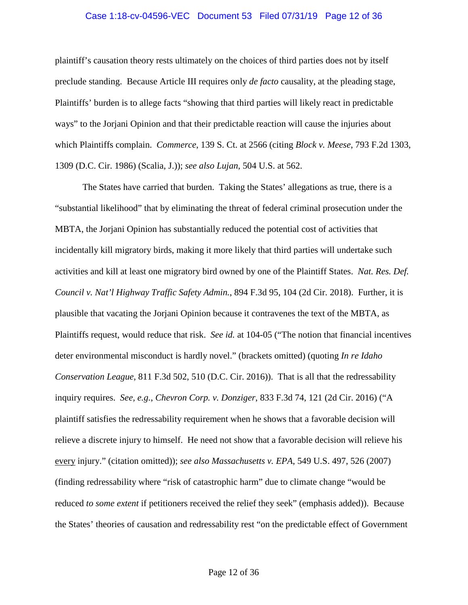#### Case 1:18-cv-04596-VEC Document 53 Filed 07/31/19 Page 12 of 36

plaintiff's causation theory rests ultimately on the choices of third parties does not by itself preclude standing. Because Article III requires only *de facto* causality, at the pleading stage, Plaintiffs' burden is to allege facts "showing that third parties will likely react in predictable ways" to the Jorjani Opinion and that their predictable reaction will cause the injuries about which Plaintiffs complain. *Commerce*, 139 S. Ct. at 2566 (citing *Block v. Meese*, 793 F.2d 1303, 1309 (D.C. Cir. 1986) (Scalia, J.)); *see also Lujan*, 504 U.S. at 562.

The States have carried that burden. Taking the States' allegations as true, there is a "substantial likelihood" that by eliminating the threat of federal criminal prosecution under the MBTA, the Jorjani Opinion has substantially reduced the potential cost of activities that incidentally kill migratory birds, making it more likely that third parties will undertake such activities and kill at least one migratory bird owned by one of the Plaintiff States. *Nat. Res. Def. Council v. Nat'l Highway Traffic Safety Admin.*, 894 F.3d 95, 104 (2d Cir. 2018). Further, it is plausible that vacating the Jorjani Opinion because it contravenes the text of the MBTA, as Plaintiffs request, would reduce that risk. *See id.* at 104-05 ("The notion that financial incentives deter environmental misconduct is hardly novel." (brackets omitted) (quoting *In re Idaho Conservation League*, 811 F.3d 502, 510 (D.C. Cir. 2016)). That is all that the redressability inquiry requires. *See, e.g.*, *Chevron Corp. v. Donziger*, 833 F.3d 74, 121 (2d Cir. 2016) ("A plaintiff satisfies the redressability requirement when he shows that a favorable decision will relieve a discrete injury to himself. He need not show that a favorable decision will relieve his every injury." (citation omitted)); *see also Massachusetts v. EPA*, 549 U.S. 497, 526 (2007) (finding redressability where "risk of catastrophic harm" due to climate change "would be reduced *to some extent* if petitioners received the relief they seek" (emphasis added)). Because the States' theories of causation and redressability rest "on the predictable effect of Government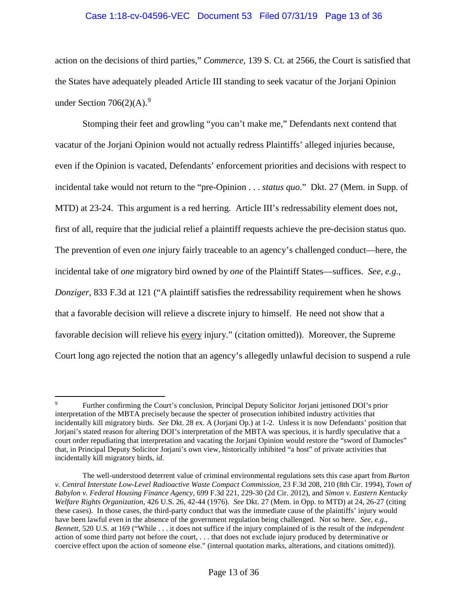# Case 1:18-cv-04596-VEC Document 53 Filed 07/31/19 Page 13 of 36

action on the decisions of third parties," *Commerce*, 139 S. Ct. at 2566, the Court is satisfied that the States have adequately pleaded Article III standing to seek vacatur of the Jorjani Opinion under Section  $706(2)(A)$ .<sup>9</sup>

Stomping their feet and growling "you can't make me," Defendants next contend that vacatur of the Jorjani Opinion would not actually redress Plaintiffs' alleged injuries because, even if the Opinion is vacated, Defendants' enforcement priorities and decisions with respect to incidental take would not return to the "pre-Opinion . . . *status quo*." Dkt. 27 (Mem. in Supp. of MTD) at 23-24. This argument is a red herring. Article III's redressability element does not, first of all, require that the judicial relief a plaintiff requests achieve the pre-decision status quo. The prevention of even *one* injury fairly traceable to an agency's challenged conduct—here, the incidental take of *one* migratory bird owned by *one* of the Plaintiff States—suffices. *See, e.g.*, *Donziger*, 833 F.3d at 121 ("A plaintiff satisfies the redressability requirement when he shows that a favorable decision will relieve a discrete injury to himself. He need not show that a favorable decision will relieve his every injury." (citation omitted)). Moreover, the Supreme Court long ago rejected the notion that an agency's allegedly unlawful decision to suspend a rule

 $\overline{a}$ 9 Further confirming the Court's conclusion, Principal Deputy Solicitor Jorjani jettisoned DOI's prior interpretation of the MBTA precisely because the specter of prosecution inhibited industry activities that incidentally kill migratory birds. *See* Dkt. 28 ex. A (Jorjani Op.) at 1-2. Unless it is now Defendants' position that Jorjani's stated reason for altering DOI's interpretation of the MBTA was specious, it is hardly speculative that a court order repudiating that interpretation and vacating the Jorjani Opinion would restore the "sword of Damocles" that, in Principal Deputy Solicitor Jorjani's own view, historically inhibited "a host" of private activities that incidentally kill migratory birds, *id.*

The well-understood deterrent value of criminal environmental regulations sets this case apart from *Burton v. Central Interstate Low-Level Radioactive Waste Compact Commission*, 23 F.3d 208, 210 (8th Cir. 1994), *Town of Babylon v. Federal Housing Finance Agency*, 699 F.3d 221, 229-30 (2d Cir. 2012), and *Simon v. Eastern Kentucky Welfare Rights Organization*, 426 U.S. 26, 42-44 (1976). *See* Dkt. 27 (Mem. in Opp. to MTD) at 24, 26-27 (citing these cases). In those cases, the third-party conduct that was the immediate cause of the plaintiffs' injury would have been lawful even in the absence of the government regulation being challenged. Not so here. *See, e.g.*, *Bennett*, 520 U.S. at 169 ("While . . . it does not suffice if the injury complained of is the result of the *independent* action of some third party not before the court, . . . that does not exclude injury produced by determinative or coercive effect upon the action of someone else." (internal quotation marks, alterations, and citations omitted)).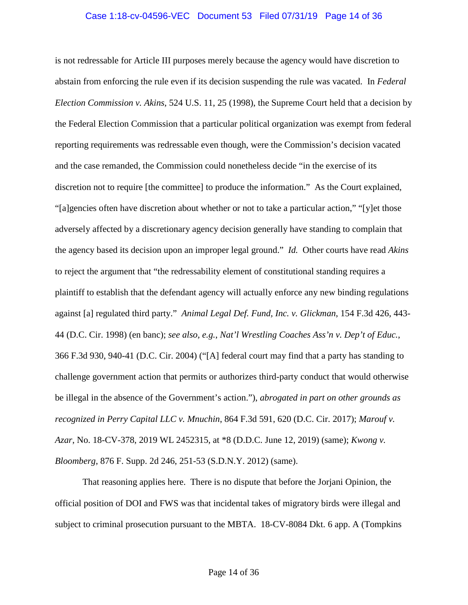## Case 1:18-cv-04596-VEC Document 53 Filed 07/31/19 Page 14 of 36

is not redressable for Article III purposes merely because the agency would have discretion to abstain from enforcing the rule even if its decision suspending the rule was vacated. In *Federal Election Commission v. Akins*, 524 U.S. 11, 25 (1998), the Supreme Court held that a decision by the Federal Election Commission that a particular political organization was exempt from federal reporting requirements was redressable even though, were the Commission's decision vacated and the case remanded, the Commission could nonetheless decide "in the exercise of its discretion not to require [the committee] to produce the information." As the Court explained, "[a]gencies often have discretion about whether or not to take a particular action," "[y]et those adversely affected by a discretionary agency decision generally have standing to complain that the agency based its decision upon an improper legal ground." *Id.* Other courts have read *Akins*  to reject the argument that "the redressability element of constitutional standing requires a plaintiff to establish that the defendant agency will actually enforce any new binding regulations against [a] regulated third party." *Animal Legal Def. Fund, Inc. v. Glickman*, 154 F.3d 426, 443- 44 (D.C. Cir. 1998) (en banc); *see also, e.g.*, *Nat'l Wrestling Coaches Ass'n v. Dep't of Educ.*, 366 F.3d 930, 940-41 (D.C. Cir. 2004) ("[A] federal court may find that a party has standing to challenge government action that permits or authorizes third-party conduct that would otherwise be illegal in the absence of the Government's action."), *abrogated in part on other grounds as recognized in Perry Capital LLC v. Mnuchin*, 864 F.3d 591, 620 (D.C. Cir. 2017); *Marouf v. Azar*, No. 18-CV-378, 2019 WL 2452315, at \*8 (D.D.C. June 12, 2019) (same); *Kwong v. Bloomberg*, 876 F. Supp. 2d 246, 251-53 (S.D.N.Y. 2012) (same).

That reasoning applies here. There is no dispute that before the Jorjani Opinion, the official position of DOI and FWS was that incidental takes of migratory birds were illegal and subject to criminal prosecution pursuant to the MBTA. 18-CV-8084 Dkt. 6 app. A (Tompkins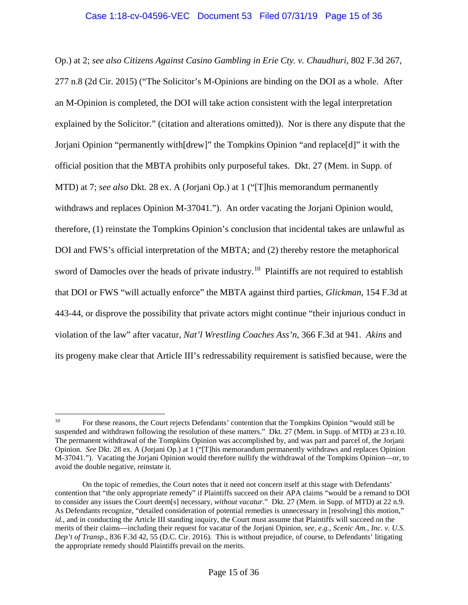Op.) at 2; *see also Citizens Against Casino Gambling in Erie Cty. v. Chaudhuri*, 802 F.3d 267, 277 n.8 (2d Cir. 2015) ("The Solicitor's M-Opinions are binding on the DOI as a whole. After an M-Opinion is completed, the DOI will take action consistent with the legal interpretation explained by the Solicitor." (citation and alterations omitted)). Nor is there any dispute that the Jorjani Opinion "permanently with[drew]" the Tompkins Opinion "and replace[d]" it with the official position that the MBTA prohibits only purposeful takes. Dkt. 27 (Mem. in Supp. of MTD) at 7; *see also* Dkt. 28 ex. A (Jorjani Op.) at 1 ("[T]his memorandum permanently withdraws and replaces Opinion M-37041."). An order vacating the Jorjani Opinion would, therefore, (1) reinstate the Tompkins Opinion's conclusion that incidental takes are unlawful as DOI and FWS's official interpretation of the MBTA; and (2) thereby restore the metaphorical sword of Damocles over the heads of private industry.<sup>10</sup> Plaintiffs are not required to establish that DOI or FWS "will actually enforce" the MBTA against third parties, *Glickman*, 154 F.3d at 443-44, or disprove the possibility that private actors might continue "their injurious conduct in violation of the law" after vacatur, *Nat'l Wrestling Coaches Ass'n*, 366 F.3d at 941. *Akins* and its progeny make clear that Article III's redressability requirement is satisfied because, were the

 $\overline{a}$ <sup>10</sup> For these reasons, the Court rejects Defendants' contention that the Tompkins Opinion "would still be suspended and withdrawn following the resolution of these matters." Dkt. 27 (Mem. in Supp. of MTD) at 23 n.10. The permanent withdrawal of the Tompkins Opinion was accomplished by, and was part and parcel of, the Jorjani Opinion. *See* Dkt. 28 ex. A (Jorjani Op.) at 1 ("[T]his memorandum permanently withdraws and replaces Opinion M-37041."). Vacating the Jorjani Opinion would therefore nullify the withdrawal of the Tompkins Opinion—or, to avoid the double negative, reinstate it.

On the topic of remedies, the Court notes that it need not concern itself at this stage with Defendants' contention that "the only appropriate remedy" if Plaintiffs succeed on their APA claims "would be a remand to DOI to consider any issues the Court deem[s] necessary, *without vacatur*." Dkt. 27 (Mem. in Supp. of MTD) at 22 n.9. As Defendants recognize, "detailed consideration of potential remedies is unnecessary in [resolving] this motion," *id.*, and in conducting the Article III standing inquiry, the Court must assume that Plaintiffs will succeed on the merits of their claims—including their request for vacatur of the Jorjani Opinion, *see, e.g.*, *Scenic Am., Inc. v. U.S. Dep't of Transp.*, 836 F.3d 42, 55 (D.C. Cir. 2016). This is without prejudice, of course, to Defendants' litigating the appropriate remedy should Plaintiffs prevail on the merits.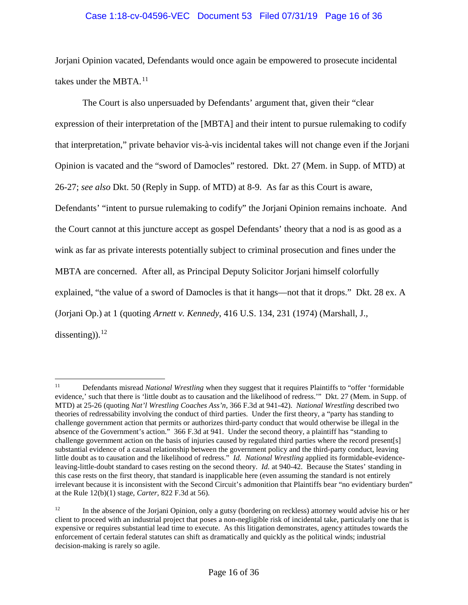# Case 1:18-cv-04596-VEC Document 53 Filed 07/31/19 Page 16 of 36

Jorjani Opinion vacated, Defendants would once again be empowered to prosecute incidental takes under the MBTA.<sup>11</sup>

The Court is also unpersuaded by Defendants' argument that, given their "clear expression of their interpretation of the [MBTA] and their intent to pursue rulemaking to codify that interpretation," private behavior vis-à-vis incidental takes will not change even if the Jorjani Opinion is vacated and the "sword of Damocles" restored. Dkt. 27 (Mem. in Supp. of MTD) at 26-27; *see also* Dkt. 50 (Reply in Supp. of MTD) at 8-9. As far as this Court is aware, Defendants' "intent to pursue rulemaking to codify" the Jorjani Opinion remains inchoate. And the Court cannot at this juncture accept as gospel Defendants' theory that a nod is as good as a wink as far as private interests potentially subject to criminal prosecution and fines under the MBTA are concerned. After all, as Principal Deputy Solicitor Jorjani himself colorfully explained, "the value of a sword of Damocles is that it hangs—not that it drops." Dkt. 28 ex. A (Jorjani Op.) at 1 (quoting *Arnett v. Kennedy*, 416 U.S. 134, 231 (1974) (Marshall, J., dissenting)). $^{12}$ 

 $11\,$ 11 Defendants misread *National Wrestling* when they suggest that it requires Plaintiffs to "offer 'formidable evidence,' such that there is 'little doubt as to causation and the likelihood of redress.'" Dkt. 27 (Mem. in Supp. of MTD) at 25-26 (quoting *Nat'l Wrestling Coaches Ass'n*, 366 F.3d at 941-42). *National Wrestling* described two theories of redressability involving the conduct of third parties. Under the first theory, a "party has standing to challenge government action that permits or authorizes third-party conduct that would otherwise be illegal in the absence of the Government's action." 366 F.3d at 941. Under the second theory, a plaintiff has "standing to challenge government action on the basis of injuries caused by regulated third parties where the record present[s] substantial evidence of a causal relationship between the government policy and the third-party conduct, leaving little doubt as to causation and the likelihood of redress." *Id. National Wrestling* applied its formidable-evidenceleaving-little-doubt standard to cases resting on the second theory. *Id.* at 940-42. Because the States' standing in this case rests on the first theory, that standard is inapplicable here (even assuming the standard is not entirely irrelevant because it is inconsistent with the Second Circuit's admonition that Plaintiffs bear "no evidentiary burden" at the Rule 12(b)(1) stage, *Carter*, 822 F.3d at 56).

<sup>&</sup>lt;sup>12</sup> In the absence of the Jorjani Opinion, only a gutsy (bordering on reckless) attorney would advise his or her client to proceed with an industrial project that poses a non-negligible risk of incidental take, particularly one that is expensive or requires substantial lead time to execute. As this litigation demonstrates, agency attitudes towards the enforcement of certain federal statutes can shift as dramatically and quickly as the political winds; industrial decision-making is rarely so agile.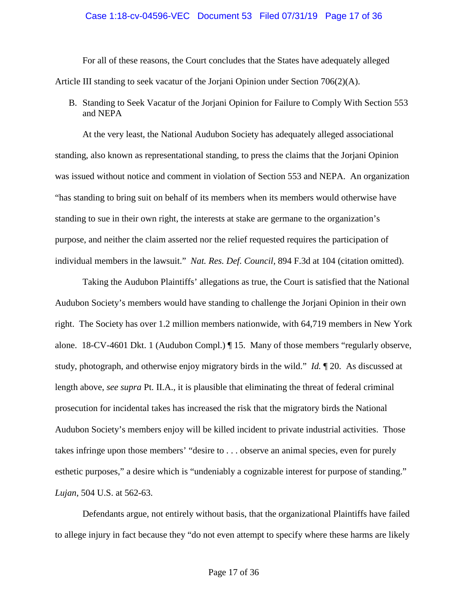### Case 1:18-cv-04596-VEC Document 53 Filed 07/31/19 Page 17 of 36

For all of these reasons, the Court concludes that the States have adequately alleged Article III standing to seek vacatur of the Jorjani Opinion under Section 706(2)(A).

B. Standing to Seek Vacatur of the Jorjani Opinion for Failure to Comply With Section 553 and NEPA

At the very least, the National Audubon Society has adequately alleged associational standing, also known as representational standing, to press the claims that the Jorjani Opinion was issued without notice and comment in violation of Section 553 and NEPA. An organization "has standing to bring suit on behalf of its members when its members would otherwise have standing to sue in their own right, the interests at stake are germane to the organization's purpose, and neither the claim asserted nor the relief requested requires the participation of individual members in the lawsuit." *Nat. Res. Def. Council*, 894 F.3d at 104 (citation omitted).

Taking the Audubon Plaintiffs' allegations as true, the Court is satisfied that the National Audubon Society's members would have standing to challenge the Jorjani Opinion in their own right. The Society has over 1.2 million members nationwide, with 64,719 members in New York alone. 18-CV-4601 Dkt. 1 (Audubon Compl.) ¶ 15. Many of those members "regularly observe, study, photograph, and otherwise enjoy migratory birds in the wild." *Id.* ¶ 20. As discussed at length above, *see supra* Pt. II.A., it is plausible that eliminating the threat of federal criminal prosecution for incidental takes has increased the risk that the migratory birds the National Audubon Society's members enjoy will be killed incident to private industrial activities. Those takes infringe upon those members' "desire to . . . observe an animal species, even for purely esthetic purposes," a desire which is "undeniably a cognizable interest for purpose of standing." *Lujan*, 504 U.S. at 562-63.

Defendants argue, not entirely without basis, that the organizational Plaintiffs have failed to allege injury in fact because they "do not even attempt to specify where these harms are likely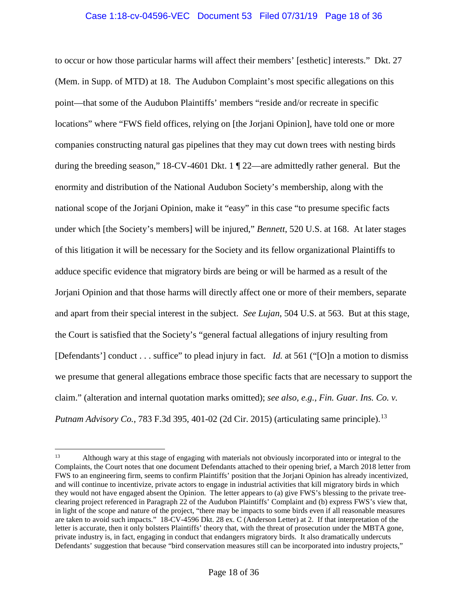# Case 1:18-cv-04596-VEC Document 53 Filed 07/31/19 Page 18 of 36

to occur or how those particular harms will affect their members' [esthetic] interests." Dkt. 27 (Mem. in Supp. of MTD) at 18. The Audubon Complaint's most specific allegations on this point—that some of the Audubon Plaintiffs' members "reside and/or recreate in specific locations" where "FWS field offices, relying on [the Jorjani Opinion], have told one or more companies constructing natural gas pipelines that they may cut down trees with nesting birds during the breeding season," 18-CV-4601 Dkt. 1 ¶ 22—are admittedly rather general. But the enormity and distribution of the National Audubon Society's membership, along with the national scope of the Jorjani Opinion, make it "easy" in this case "to presume specific facts under which [the Society's members] will be injured," *Bennett*, 520 U.S. at 168. At later stages of this litigation it will be necessary for the Society and its fellow organizational Plaintiffs to adduce specific evidence that migratory birds are being or will be harmed as a result of the Jorjani Opinion and that those harms will directly affect one or more of their members, separate and apart from their special interest in the subject. *See Lujan*, 504 U.S. at 563. But at this stage, the Court is satisfied that the Society's "general factual allegations of injury resulting from [Defendants'] conduct . . . suffice" to plead injury in fact. *Id.* at 561 ("[O]n a motion to dismiss we presume that general allegations embrace those specific facts that are necessary to support the claim." (alteration and internal quotation marks omitted); *see also, e.g.*, *Fin. Guar. Ins. Co. v. Putnam Advisory Co.*, 783 F.3d 395, 401-02 (2d Cir. 2015) (articulating same principle).<sup>13</sup>

 $\overline{a}$ 

<sup>&</sup>lt;sup>13</sup> Although wary at this stage of engaging with materials not obviously incorporated into or integral to the Complaints, the Court notes that one document Defendants attached to their opening brief, a March 2018 letter from FWS to an engineering firm, seems to confirm Plaintiffs' position that the Jorjani Opinion has already incentivized, and will continue to incentivize, private actors to engage in industrial activities that kill migratory birds in which they would not have engaged absent the Opinion. The letter appears to (a) give FWS's blessing to the private treeclearing project referenced in Paragraph 22 of the Audubon Plaintiffs' Complaint and (b) express FWS's view that, in light of the scope and nature of the project, "there may be impacts to some birds even if all reasonable measures are taken to avoid such impacts." 18-CV-4596 Dkt. 28 ex. C (Anderson Letter) at 2. If that interpretation of the letter is accurate, then it only bolsters Plaintiffs' theory that, with the threat of prosecution under the MBTA gone, private industry is, in fact, engaging in conduct that endangers migratory birds. It also dramatically undercuts Defendants' suggestion that because "bird conservation measures still can be incorporated into industry projects,"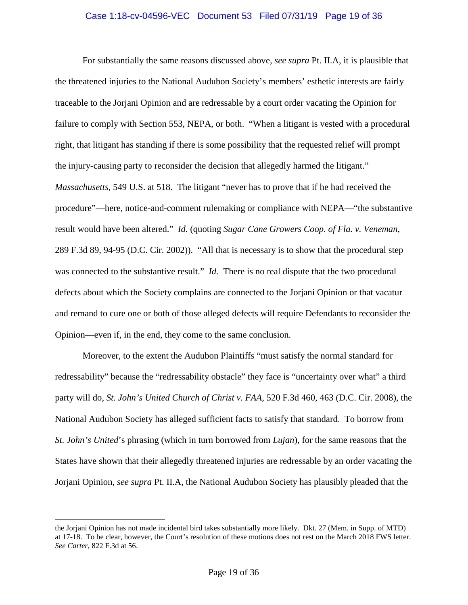### Case 1:18-cv-04596-VEC Document 53 Filed 07/31/19 Page 19 of 36

For substantially the same reasons discussed above, *see supra* Pt. II.A, it is plausible that the threatened injuries to the National Audubon Society's members' esthetic interests are fairly traceable to the Jorjani Opinion and are redressable by a court order vacating the Opinion for failure to comply with Section 553, NEPA, or both. "When a litigant is vested with a procedural right, that litigant has standing if there is some possibility that the requested relief will prompt the injury-causing party to reconsider the decision that allegedly harmed the litigant." *Massachusetts*, 549 U.S. at 518. The litigant "never has to prove that if he had received the procedure"—here, notice-and-comment rulemaking or compliance with NEPA—"the substantive result would have been altered." *Id.* (quoting *Sugar Cane Growers Coop. of Fla. v. Veneman*, 289 F.3d 89, 94-95 (D.C. Cir. 2002)). "All that is necessary is to show that the procedural step was connected to the substantive result." *Id.* There is no real dispute that the two procedural defects about which the Society complains are connected to the Jorjani Opinion or that vacatur and remand to cure one or both of those alleged defects will require Defendants to reconsider the Opinion—even if, in the end, they come to the same conclusion.

Moreover, to the extent the Audubon Plaintiffs "must satisfy the normal standard for redressability" because the "redressability obstacle" they face is "uncertainty over what" a third party will do, *St. John's United Church of Christ v. FAA*, 520 F.3d 460, 463 (D.C. Cir. 2008), the National Audubon Society has alleged sufficient facts to satisfy that standard. To borrow from *St. John's United*'s phrasing (which in turn borrowed from *Lujan*), for the same reasons that the States have shown that their allegedly threatened injuries are redressable by an order vacating the Jorjani Opinion, *see supra* Pt. II.A, the National Audubon Society has plausibly pleaded that the

the Jorjani Opinion has not made incidental bird takes substantially more likely. Dkt. 27 (Mem. in Supp. of MTD) at 17-18. To be clear, however, the Court's resolution of these motions does not rest on the March 2018 FWS letter. *See Carter*, 822 F.3d at 56.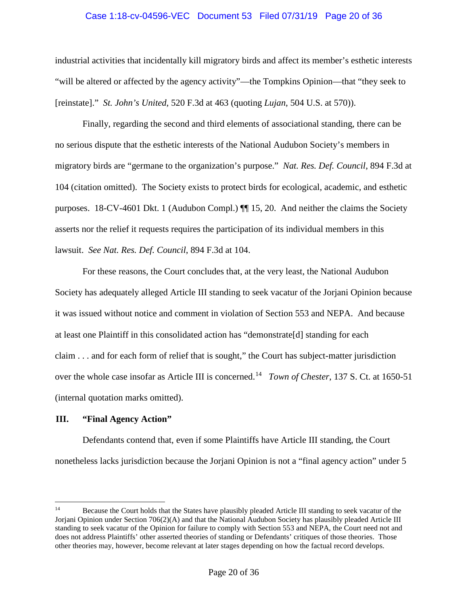## Case 1:18-cv-04596-VEC Document 53 Filed 07/31/19 Page 20 of 36

industrial activities that incidentally kill migratory birds and affect its member's esthetic interests "will be altered or affected by the agency activity"—the Tompkins Opinion—that "they seek to [reinstate]." *St. John's United*, 520 F.3d at 463 (quoting *Lujan*, 504 U.S. at 570)).

Finally, regarding the second and third elements of associational standing, there can be no serious dispute that the esthetic interests of the National Audubon Society's members in migratory birds are "germane to the organization's purpose." *Nat. Res. Def. Council*, 894 F.3d at 104 (citation omitted). The Society exists to protect birds for ecological, academic, and esthetic purposes. 18-CV-4601 Dkt. 1 (Audubon Compl.) ¶¶ 15, 20. And neither the claims the Society asserts nor the relief it requests requires the participation of its individual members in this lawsuit. *See Nat. Res. Def. Council*, 894 F.3d at 104.

For these reasons, the Court concludes that, at the very least, the National Audubon Society has adequately alleged Article III standing to seek vacatur of the Jorjani Opinion because it was issued without notice and comment in violation of Section 553 and NEPA. And because at least one Plaintiff in this consolidated action has "demonstrate[d] standing for each claim . . . and for each form of relief that is sought," the Court has subject-matter jurisdiction over the whole case insofar as Article III is concerned.14 *Town of Chester*, 137 S. Ct. at 1650-51 (internal quotation marks omitted).

# **III. "Final Agency Action"**

 $\overline{a}$ 

Defendants contend that, even if some Plaintiffs have Article III standing, the Court nonetheless lacks jurisdiction because the Jorjani Opinion is not a "final agency action" under 5

<sup>&</sup>lt;sup>14</sup> Because the Court holds that the States have plausibly pleaded Article III standing to seek vacatur of the Jorjani Opinion under Section 706(2)(A) and that the National Audubon Society has plausibly pleaded Article III standing to seek vacatur of the Opinion for failure to comply with Section 553 and NEPA, the Court need not and does not address Plaintiffs' other asserted theories of standing or Defendants' critiques of those theories. Those other theories may, however, become relevant at later stages depending on how the factual record develops.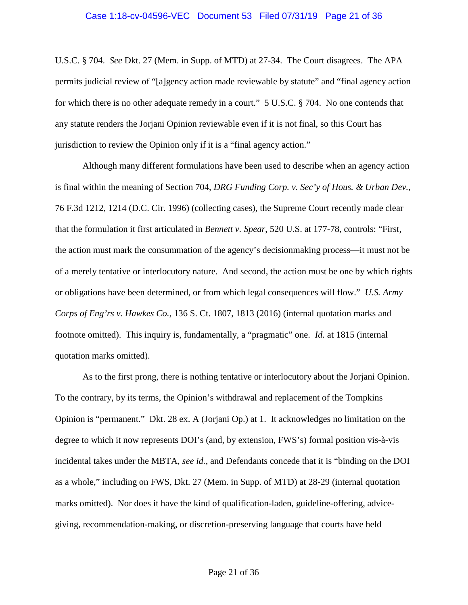U.S.C. § 704. *See* Dkt. 27 (Mem. in Supp. of MTD) at 27-34. The Court disagrees. The APA permits judicial review of "[a]gency action made reviewable by statute" and "final agency action for which there is no other adequate remedy in a court." 5 U.S.C. § 704. No one contends that any statute renders the Jorjani Opinion reviewable even if it is not final, so this Court has jurisdiction to review the Opinion only if it is a "final agency action."

Although many different formulations have been used to describe when an agency action is final within the meaning of Section 704, *DRG Funding Corp. v. Sec'y of Hous. & Urban Dev.*, 76 F.3d 1212, 1214 (D.C. Cir. 1996) (collecting cases), the Supreme Court recently made clear that the formulation it first articulated in *Bennett v. Spear*, 520 U.S. at 177-78, controls: "First, the action must mark the consummation of the agency's decisionmaking process—it must not be of a merely tentative or interlocutory nature. And second, the action must be one by which rights or obligations have been determined, or from which legal consequences will flow." *U.S. Army Corps of Eng'rs v. Hawkes Co.*, 136 S. Ct. 1807, 1813 (2016) (internal quotation marks and footnote omitted). This inquiry is, fundamentally, a "pragmatic" one. *Id.* at 1815 (internal quotation marks omitted).

As to the first prong, there is nothing tentative or interlocutory about the Jorjani Opinion. To the contrary, by its terms, the Opinion's withdrawal and replacement of the Tompkins Opinion is "permanent." Dkt. 28 ex. A (Jorjani Op.) at 1. It acknowledges no limitation on the degree to which it now represents DOI's (and, by extension, FWS's) formal position vis-à-vis incidental takes under the MBTA, *see id.*, and Defendants concede that it is "binding on the DOI as a whole," including on FWS, Dkt. 27 (Mem. in Supp. of MTD) at 28-29 (internal quotation marks omitted). Nor does it have the kind of qualification-laden, guideline-offering, advicegiving, recommendation-making, or discretion-preserving language that courts have held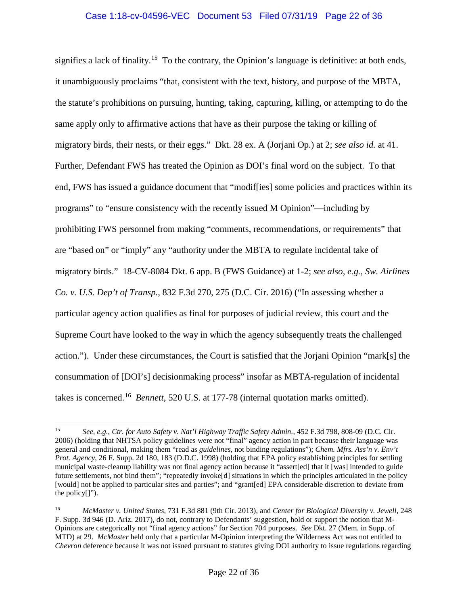signifies a lack of finality.<sup>15</sup> To the contrary, the Opinion's language is definitive: at both ends, it unambiguously proclaims "that, consistent with the text, history, and purpose of the MBTA, the statute's prohibitions on pursuing, hunting, taking, capturing, killing, or attempting to do the same apply only to affirmative actions that have as their purpose the taking or killing of migratory birds, their nests, or their eggs." Dkt. 28 ex. A (Jorjani Op.) at 2; *see also id.* at 41. Further, Defendant FWS has treated the Opinion as DOI's final word on the subject. To that end, FWS has issued a guidance document that "modif[ies] some policies and practices within its programs" to "ensure consistency with the recently issued M Opinion"—including by prohibiting FWS personnel from making "comments, recommendations, or requirements" that are "based on" or "imply" any "authority under the MBTA to regulate incidental take of migratory birds." 18-CV-8084 Dkt. 6 app. B (FWS Guidance) at 1-2; *see also, e.g.*, *Sw. Airlines Co. v. U.S. Dep't of Transp.*, 832 F.3d 270, 275 (D.C. Cir. 2016) ("In assessing whether a particular agency action qualifies as final for purposes of judicial review, this court and the Supreme Court have looked to the way in which the agency subsequently treats the challenged action."). Under these circumstances, the Court is satisfied that the Jorjani Opinion "mark[s] the consummation of [DOI's] decisionmaking process" insofar as MBTA-regulation of incidental takes is concerned.16 *Bennett*, 520 U.S. at 177-78 (internal quotation marks omitted).

 $15\,$ 15 *See, e.g.*, *Ctr. for Auto Safety v. Nat'l Highway Traffic Safety Admin.*, 452 F.3d 798, 808-09 (D.C. Cir. 2006) (holding that NHTSA policy guidelines were not "final" agency action in part because their language was general and conditional, making them "read as *guidelines*, not binding regulations"); *Chem. Mfrs. Ass'n v. Env't Prot. Agency*, 26 F. Supp. 2d 180, 183 (D.D.C. 1998) (holding that EPA policy establishing principles for settling municipal waste-cleanup liability was not final agency action because it "assert[ed] that it [was] intended to guide future settlements, not bind them"; "repeatedly invoke[d] situations in which the principles articulated in the policy [would] not be applied to particular sites and parties"; and "grant[ed] EPA considerable discretion to deviate from the policy[]").

<sup>16</sup> *McMaster v. United States*, 731 F.3d 881 (9th Cir. 2013), and *Center for Biological Diversity v. Jewell*, 248 F. Supp. 3d 946 (D. Ariz. 2017), do not, contrary to Defendants' suggestion, hold or support the notion that M-Opinions are categorically not "final agency actions" for Section 704 purposes. *See* Dkt. 27 (Mem. in Supp. of MTD) at 29. *McMaster* held only that a particular M-Opinion interpreting the Wilderness Act was not entitled to *Chevron* deference because it was not issued pursuant to statutes giving DOI authority to issue regulations regarding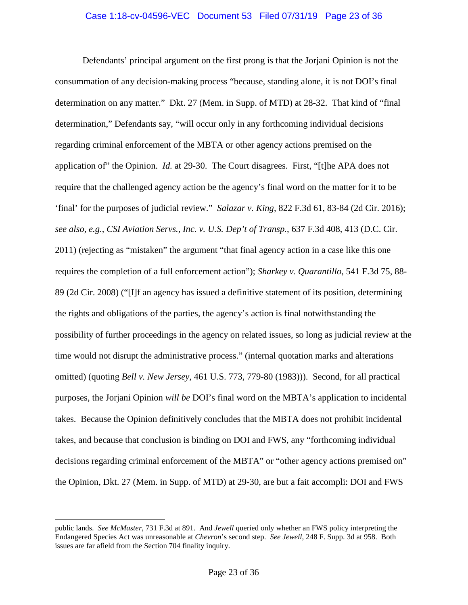Defendants' principal argument on the first prong is that the Jorjani Opinion is not the consummation of any decision-making process "because, standing alone, it is not DOI's final determination on any matter." Dkt. 27 (Mem. in Supp. of MTD) at 28-32. That kind of "final determination," Defendants say, "will occur only in any forthcoming individual decisions regarding criminal enforcement of the MBTA or other agency actions premised on the application of" the Opinion. *Id.* at 29-30. The Court disagrees. First, "[t]he APA does not require that the challenged agency action be the agency's final word on the matter for it to be 'final' for the purposes of judicial review." *Salazar v. King*, 822 F.3d 61, 83-84 (2d Cir. 2016); *see also, e.g.*, *CSI Aviation Servs., Inc. v. U.S. Dep't of Transp.*, 637 F.3d 408, 413 (D.C. Cir. 2011) (rejecting as "mistaken" the argument "that final agency action in a case like this one requires the completion of a full enforcement action"); *Sharkey v. Quarantillo*, 541 F.3d 75, 88- 89 (2d Cir. 2008) ("[I]f an agency has issued a definitive statement of its position, determining the rights and obligations of the parties, the agency's action is final notwithstanding the possibility of further proceedings in the agency on related issues, so long as judicial review at the time would not disrupt the administrative process." (internal quotation marks and alterations omitted) (quoting *Bell v. New Jersey*, 461 U.S. 773, 779-80 (1983))). Second, for all practical purposes, the Jorjani Opinion *will be* DOI's final word on the MBTA's application to incidental takes. Because the Opinion definitively concludes that the MBTA does not prohibit incidental takes, and because that conclusion is binding on DOI and FWS, any "forthcoming individual decisions regarding criminal enforcement of the MBTA" or "other agency actions premised on" the Opinion, Dkt. 27 (Mem. in Supp. of MTD) at 29-30, are but a fait accompli: DOI and FWS

public lands. *See McMaster*, 731 F.3d at 891. And *Jewell* queried only whether an FWS policy interpreting the Endangered Species Act was unreasonable at *Chevron*'s second step. *See Jewell*, 248 F. Supp. 3d at 958.Both issues are far afield from the Section 704 finality inquiry.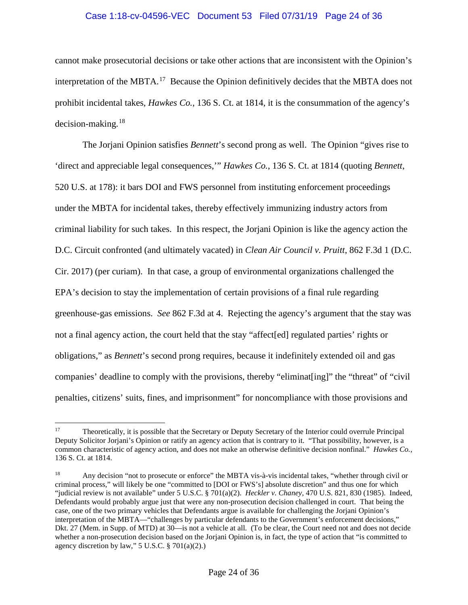## Case 1:18-cv-04596-VEC Document 53 Filed 07/31/19 Page 24 of 36

cannot make prosecutorial decisions or take other actions that are inconsistent with the Opinion's interpretation of the MBTA.<sup>17</sup> Because the Opinion definitively decides that the MBTA does not prohibit incidental takes, *Hawkes Co.*, 136 S. Ct. at 1814, it is the consummation of the agency's decision-making. $18$ 

The Jorjani Opinion satisfies *Bennett*'s second prong as well. The Opinion "gives rise to 'direct and appreciable legal consequences,'" *Hawkes Co.*, 136 S. Ct. at 1814 (quoting *Bennett*, 520 U.S. at 178): it bars DOI and FWS personnel from instituting enforcement proceedings under the MBTA for incidental takes, thereby effectively immunizing industry actors from criminal liability for such takes. In this respect, the Jorjani Opinion is like the agency action the D.C. Circuit confronted (and ultimately vacated) in *Clean Air Council v. Pruitt*, 862 F.3d 1 (D.C. Cir. 2017) (per curiam). In that case, a group of environmental organizations challenged the EPA's decision to stay the implementation of certain provisions of a final rule regarding greenhouse-gas emissions. *See* 862 F.3d at 4. Rejecting the agency's argument that the stay was not a final agency action, the court held that the stay "affect[ed] regulated parties' rights or obligations," as *Bennett*'s second prong requires, because it indefinitely extended oil and gas companies' deadline to comply with the provisions, thereby "eliminat[ing]" the "threat" of "civil penalties, citizens' suits, fines, and imprisonment" for noncompliance with those provisions and

 $17\,$ 17 Theoretically, it is possible that the Secretary or Deputy Secretary of the Interior could overrule Principal Deputy Solicitor Jorjani's Opinion or ratify an agency action that is contrary to it. "That possibility, however, is a common characteristic of agency action, and does not make an otherwise definitive decision nonfinal." *Hawkes Co.*, 136 S. Ct. at 1814.

<sup>&</sup>lt;sup>18</sup> Any decision "not to prosecute or enforce" the MBTA vis-à-vis incidental takes, "whether through civil or criminal process," will likely be one "committed to [DOI or FWS's] absolute discretion" and thus one for which "judicial review is not available" under 5 U.S.C. § 701(a)(2). *Heckler v. Chaney*, 470 U.S. 821, 830 (1985). Indeed, Defendants would probably argue just that were any non-prosecution decision challenged in court. That being the case, one of the two primary vehicles that Defendants argue is available for challenging the Jorjani Opinion's interpretation of the MBTA—"challenges by particular defendants to the Government's enforcement decisions," Dkt. 27 (Mem. in Supp. of MTD) at 30—is not a vehicle at all. (To be clear, the Court need not and does not decide whether a non-prosecution decision based on the Jorjani Opinion is, in fact, the type of action that "is committed to agency discretion by law," 5 U.S.C. § 701(a)(2).)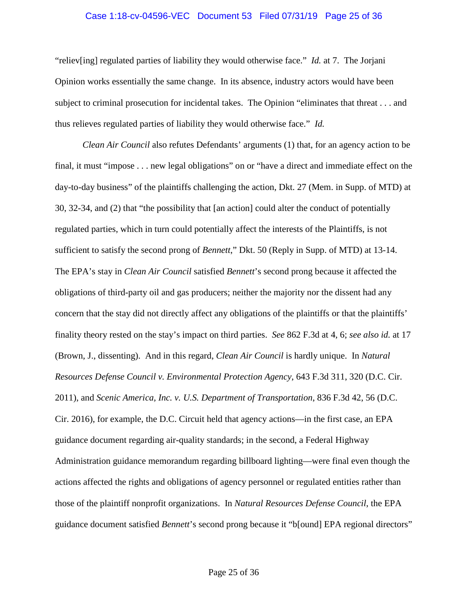#### Case 1:18-cv-04596-VEC Document 53 Filed 07/31/19 Page 25 of 36

"reliev[ing] regulated parties of liability they would otherwise face." *Id.* at 7. The Jorjani Opinion works essentially the same change. In its absence, industry actors would have been subject to criminal prosecution for incidental takes. The Opinion "eliminates that threat . . . and thus relieves regulated parties of liability they would otherwise face." *Id.*

*Clean Air Council* also refutes Defendants' arguments (1) that, for an agency action to be final, it must "impose . . . new legal obligations" on or "have a direct and immediate effect on the day-to-day business" of the plaintiffs challenging the action, Dkt. 27 (Mem. in Supp. of MTD) at 30, 32-34, and (2) that "the possibility that [an action] could alter the conduct of potentially regulated parties, which in turn could potentially affect the interests of the Plaintiffs, is not sufficient to satisfy the second prong of *Bennett*," Dkt. 50 (Reply in Supp. of MTD) at 13-14. The EPA's stay in *Clean Air Council* satisfied *Bennett*'s second prong because it affected the obligations of third-party oil and gas producers; neither the majority nor the dissent had any concern that the stay did not directly affect any obligations of the plaintiffs or that the plaintiffs' finality theory rested on the stay's impact on third parties. *See* 862 F.3d at 4, 6; *see also id.* at 17 (Brown, J., dissenting). And in this regard, *Clean Air Council* is hardly unique. In *Natural Resources Defense Council v. Environmental Protection Agency*, 643 F.3d 311, 320 (D.C. Cir. 2011), and *Scenic America, Inc. v. U.S. Department of Transportation*, 836 F.3d 42, 56 (D.C. Cir. 2016), for example, the D.C. Circuit held that agency actions—in the first case, an EPA guidance document regarding air-quality standards; in the second, a Federal Highway Administration guidance memorandum regarding billboard lighting—were final even though the actions affected the rights and obligations of agency personnel or regulated entities rather than those of the plaintiff nonprofit organizations. In *Natural Resources Defense Council*, the EPA guidance document satisfied *Bennett*'s second prong because it "b[ound] EPA regional directors"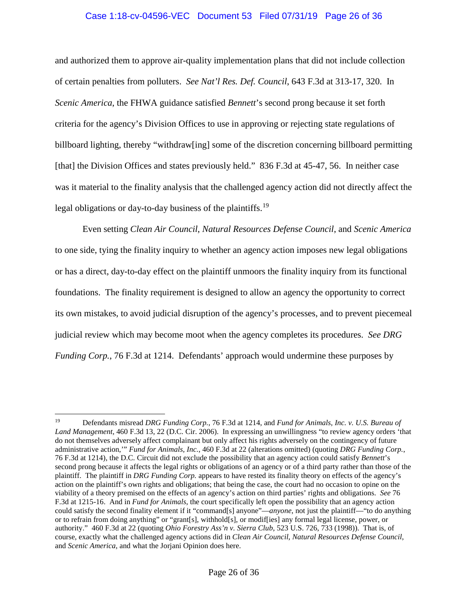# Case 1:18-cv-04596-VEC Document 53 Filed 07/31/19 Page 26 of 36

and authorized them to approve air-quality implementation plans that did not include collection of certain penalties from polluters. *See Nat'l Res. Def. Council*, 643 F.3d at 313-17, 320. In *Scenic America*, the FHWA guidance satisfied *Bennett*'s second prong because it set forth criteria for the agency's Division Offices to use in approving or rejecting state regulations of billboard lighting, thereby "withdraw[ing] some of the discretion concerning billboard permitting [that] the Division Offices and states previously held." 836 F.3d at 45-47, 56. In neither case was it material to the finality analysis that the challenged agency action did not directly affect the legal obligations or day-to-day business of the plaintiffs.<sup>19</sup>

Even setting *Clean Air Council*, *Natural Resources Defense Council*, and *Scenic America* to one side, tying the finality inquiry to whether an agency action imposes new legal obligations or has a direct, day-to-day effect on the plaintiff unmoors the finality inquiry from its functional foundations. The finality requirement is designed to allow an agency the opportunity to correct its own mistakes, to avoid judicial disruption of the agency's processes, and to prevent piecemeal judicial review which may become moot when the agency completes its procedures. *See DRG Funding Corp.*, 76 F.3d at 1214. Defendants' approach would undermine these purposes by

 $\overline{a}$ 19 Defendants misread *DRG Funding Corp.*, 76 F.3d at 1214, and *Fund for Animals, Inc. v. U.S. Bureau of Land Management*, 460 F.3d 13, 22 (D.C. Cir. 2006). In expressing an unwillingness "to review agency orders 'that do not themselves adversely affect complainant but only affect his rights adversely on the contingency of future administrative action,'" *Fund for Animals, Inc.*, 460 F.3d at 22 (alterations omitted) (quoting *DRG Funding Corp.*, 76 F.3d at 1214), the D.C. Circuit did not exclude the possibility that an agency action could satisfy *Bennett*'s second prong because it affects the legal rights or obligations of an agency or of a third party rather than those of the plaintiff. The plaintiff in *DRG Funding Corp.* appears to have rested its finality theory on effects of the agency's action on the plaintiff's own rights and obligations; that being the case, the court had no occasion to opine on the viability of a theory premised on the effects of an agency's action on third parties' rights and obligations. *See* 76 F.3d at 1215-16. And in *Fund for Animals*, the court specifically left open the possibility that an agency action could satisfy the second finality element if it "command[s] anyone"—*anyone*, not just the plaintiff—"to do anything or to refrain from doing anything" or "grant[s], withhold[s], or modif[ies] any formal legal license, power, or authority." 460 F.3d at 22 (quoting *Ohio Forestry Ass'n v. Sierra Club*, 523 U.S. 726, 733 (1998)). That is, of course, exactly what the challenged agency actions did in *Clean Air Council*, *Natural Resources Defense Council*, and *Scenic America*, and what the Jorjani Opinion does here.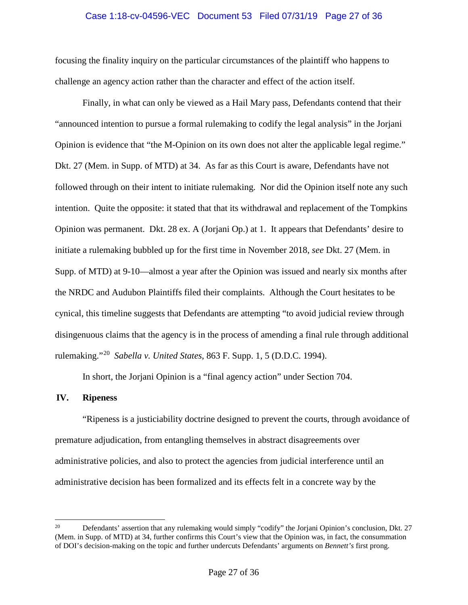### Case 1:18-cv-04596-VEC Document 53 Filed 07/31/19 Page 27 of 36

focusing the finality inquiry on the particular circumstances of the plaintiff who happens to challenge an agency action rather than the character and effect of the action itself.

Finally, in what can only be viewed as a Hail Mary pass, Defendants contend that their "announced intention to pursue a formal rulemaking to codify the legal analysis" in the Jorjani Opinion is evidence that "the M-Opinion on its own does not alter the applicable legal regime." Dkt. 27 (Mem. in Supp. of MTD) at 34. As far as this Court is aware, Defendants have not followed through on their intent to initiate rulemaking. Nor did the Opinion itself note any such intention. Quite the opposite: it stated that that its withdrawal and replacement of the Tompkins Opinion was permanent. Dkt. 28 ex. A (Jorjani Op.) at 1. It appears that Defendants' desire to initiate a rulemaking bubbled up for the first time in November 2018, *see* Dkt. 27 (Mem. in Supp. of MTD) at 9-10—almost a year after the Opinion was issued and nearly six months after the NRDC and Audubon Plaintiffs filed their complaints. Although the Court hesitates to be cynical, this timeline suggests that Defendants are attempting "to avoid judicial review through disingenuous claims that the agency is in the process of amending a final rule through additional rulemaking."20 *Sabella v. United States*, 863 F. Supp. 1, 5 (D.D.C. 1994).

In short, the Jorjani Opinion is a "final agency action" under Section 704.

#### **IV. Ripeness**

 $\overline{a}$ 

"Ripeness is a justiciability doctrine designed to prevent the courts, through avoidance of premature adjudication, from entangling themselves in abstract disagreements over administrative policies, and also to protect the agencies from judicial interference until an administrative decision has been formalized and its effects felt in a concrete way by the

<sup>&</sup>lt;sup>20</sup> Defendants' assertion that any rulemaking would simply "codify" the Jorjani Opinion's conclusion, Dkt. 27 (Mem. in Supp. of MTD) at 34, further confirms this Court's view that the Opinion was, in fact, the consummation of DOI's decision-making on the topic and further undercuts Defendants' arguments on *Bennett's* first prong.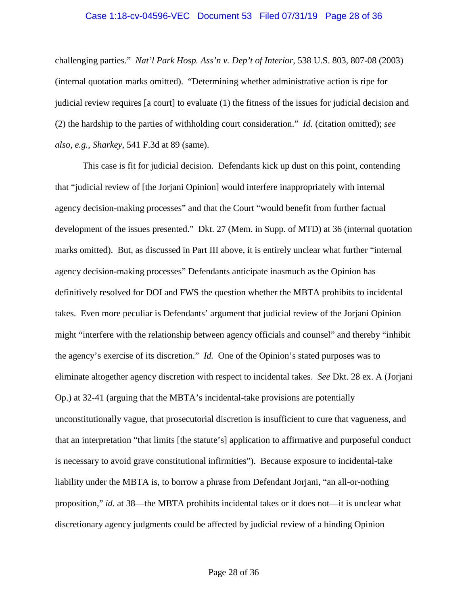#### Case 1:18-cv-04596-VEC Document 53 Filed 07/31/19 Page 28 of 36

challenging parties." *Nat'l Park Hosp. Ass'n v. Dep't of Interior*, 538 U.S. 803, 807-08 (2003) (internal quotation marks omitted). "Determining whether administrative action is ripe for judicial review requires [a court] to evaluate (1) the fitness of the issues for judicial decision and (2) the hardship to the parties of withholding court consideration." *Id.* (citation omitted); *see also, e.g.*, *Sharkey*, 541 F.3d at 89 (same).

This case is fit for judicial decision. Defendants kick up dust on this point, contending that "judicial review of [the Jorjani Opinion] would interfere inappropriately with internal agency decision-making processes" and that the Court "would benefit from further factual development of the issues presented." Dkt. 27 (Mem. in Supp. of MTD) at 36 (internal quotation marks omitted). But, as discussed in Part III above, it is entirely unclear what further "internal agency decision-making processes" Defendants anticipate inasmuch as the Opinion has definitively resolved for DOI and FWS the question whether the MBTA prohibits to incidental takes. Even more peculiar is Defendants' argument that judicial review of the Jorjani Opinion might "interfere with the relationship between agency officials and counsel" and thereby "inhibit the agency's exercise of its discretion." *Id.* One of the Opinion's stated purposes was to eliminate altogether agency discretion with respect to incidental takes. *See* Dkt. 28 ex. A (Jorjani Op.) at 32-41 (arguing that the MBTA's incidental-take provisions are potentially unconstitutionally vague, that prosecutorial discretion is insufficient to cure that vagueness, and that an interpretation "that limits [the statute's] application to affirmative and purposeful conduct is necessary to avoid grave constitutional infirmities"). Because exposure to incidental-take liability under the MBTA is, to borrow a phrase from Defendant Jorjani, "an all-or-nothing proposition," *id.* at 38—the MBTA prohibits incidental takes or it does not—it is unclear what discretionary agency judgments could be affected by judicial review of a binding Opinion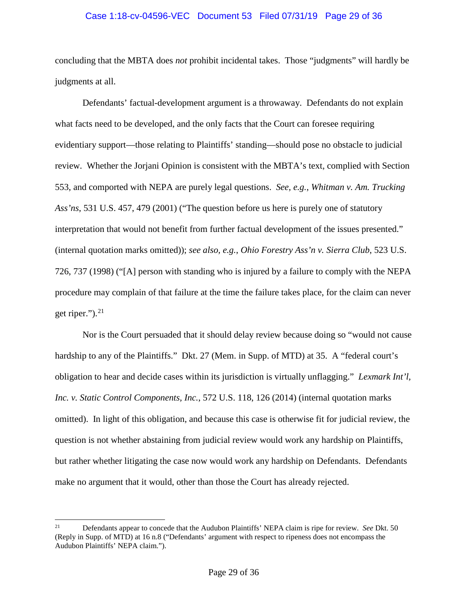### Case 1:18-cv-04596-VEC Document 53 Filed 07/31/19 Page 29 of 36

concluding that the MBTA does *not* prohibit incidental takes. Those "judgments" will hardly be judgments at all.

Defendants' factual-development argument is a throwaway. Defendants do not explain what facts need to be developed, and the only facts that the Court can foresee requiring evidentiary support—those relating to Plaintiffs' standing—should pose no obstacle to judicial review. Whether the Jorjani Opinion is consistent with the MBTA's text, complied with Section 553, and comported with NEPA are purely legal questions. *See, e.g.*, *Whitman v. Am. Trucking Ass'ns*, 531 U.S. 457, 479 (2001) ("The question before us here is purely one of statutory interpretation that would not benefit from further factual development of the issues presented." (internal quotation marks omitted)); *see also, e.g.*, *Ohio Forestry Ass'n v. Sierra Club*, 523 U.S. 726, 737 (1998) ("[A] person with standing who is injured by a failure to comply with the NEPA procedure may complain of that failure at the time the failure takes place, for the claim can never get riper."). 21

Nor is the Court persuaded that it should delay review because doing so "would not cause hardship to any of the Plaintiffs." Dkt. 27 (Mem. in Supp. of MTD) at 35. A "federal court's obligation to hear and decide cases within its jurisdiction is virtually unflagging." *Lexmark Int'l, Inc. v. Static Control Components, Inc.*, 572 U.S. 118, 126 (2014) (internal quotation marks omitted).In light of this obligation, and because this case is otherwise fit for judicial review, the question is not whether abstaining from judicial review would work any hardship on Plaintiffs, but rather whether litigating the case now would work any hardship on Defendants. Defendants make no argument that it would, other than those the Court has already rejected.

 $\overline{a}$ 

<sup>21</sup> Defendants appear to concede that the Audubon Plaintiffs' NEPA claim is ripe for review. *See* Dkt. 50 (Reply in Supp. of MTD) at 16 n.8 ("Defendants' argument with respect to ripeness does not encompass the Audubon Plaintiffs' NEPA claim.").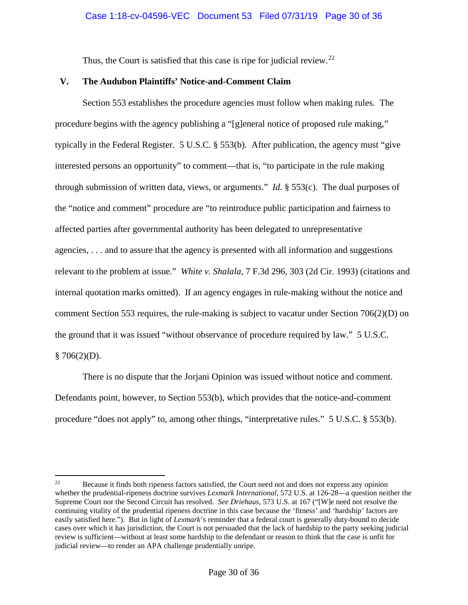Thus, the Court is satisfied that this case is ripe for judicial review.<sup>22</sup>

# **V. The Audubon Plaintiffs' Notice-and-Comment Claim**

Section 553 establishes the procedure agencies must follow when making rules. The procedure begins with the agency publishing a "[g]eneral notice of proposed rule making," typically in the Federal Register. 5 U.S.C. § 553(b). After publication, the agency must "give interested persons an opportunity" to comment—that is, "to participate in the rule making through submission of written data, views, or arguments." *Id.* § 553(c). The dual purposes of the "notice and comment" procedure are "to reintroduce public participation and fairness to affected parties after governmental authority has been delegated to unrepresentative agencies, . . . and to assure that the agency is presented with all information and suggestions relevant to the problem at issue." *White v. Shalala*, 7 F.3d 296, 303 (2d Cir. 1993) (citations and internal quotation marks omitted). If an agency engages in rule-making without the notice and comment Section 553 requires, the rule-making is subject to vacatur under Section 706(2)(D) on the ground that it was issued "without observance of procedure required by law." 5 U.S.C.  $§ 706(2)(D).$ 

There is no dispute that the Jorjani Opinion was issued without notice and comment. Defendants point, however, to Section 553(b), which provides that the notice-and-comment procedure "does not apply" to, among other things, "interpretative rules." 5 U.S.C. § 553(b).

 $22\,$ 22 Because it finds both ripeness factors satisfied, the Court need not and does not express any opinion whether the prudential-ripeness doctrine survives *Lexmark International*, 572 U.S. at 126-28—a question neither the Supreme Court nor the Second Circuit has resolved. *See Driehaus*, 573 U.S. at 167 ("[W]e need not resolve the continuing vitality of the prudential ripeness doctrine in this case because the 'fitness' and 'hardship' factors are easily satisfied here."). But in light of *Lexmark*'s reminder that a federal court is generally duty-bound to decide cases over which it has jurisdiction, the Court is not persuaded that the lack of hardship to the party seeking judicial review is sufficient—without at least some hardship to the defendant or reason to think that the case is unfit for judicial review—to render an APA challenge prudentially unripe.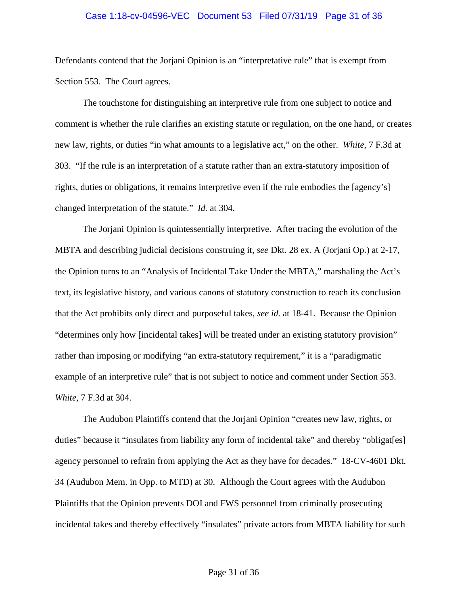#### Case 1:18-cv-04596-VEC Document 53 Filed 07/31/19 Page 31 of 36

Defendants contend that the Jorjani Opinion is an "interpretative rule" that is exempt from Section 553. The Court agrees.

The touchstone for distinguishing an interpretive rule from one subject to notice and comment is whether the rule clarifies an existing statute or regulation, on the one hand, or creates new law, rights, or duties "in what amounts to a legislative act," on the other. *White*, 7 F.3d at 303. "If the rule is an interpretation of a statute rather than an extra-statutory imposition of rights, duties or obligations, it remains interpretive even if the rule embodies the [agency's] changed interpretation of the statute." *Id.* at 304.

The Jorjani Opinion is quintessentially interpretive. After tracing the evolution of the MBTA and describing judicial decisions construing it, *see* Dkt. 28 ex. A (Jorjani Op.) at 2-17, the Opinion turns to an "Analysis of Incidental Take Under the MBTA," marshaling the Act's text, its legislative history, and various canons of statutory construction to reach its conclusion that the Act prohibits only direct and purposeful takes, *see id.* at 18-41. Because the Opinion "determines only how [incidental takes] will be treated under an existing statutory provision" rather than imposing or modifying "an extra-statutory requirement," it is a "paradigmatic example of an interpretive rule" that is not subject to notice and comment under Section 553. *White*, 7 F.3d at 304.

The Audubon Plaintiffs contend that the Jorjani Opinion "creates new law, rights, or duties" because it "insulates from liability any form of incidental take" and thereby "obligat[es] agency personnel to refrain from applying the Act as they have for decades." 18-CV-4601 Dkt. 34 (Audubon Mem. in Opp. to MTD) at 30. Although the Court agrees with the Audubon Plaintiffs that the Opinion prevents DOI and FWS personnel from criminally prosecuting incidental takes and thereby effectively "insulates" private actors from MBTA liability for such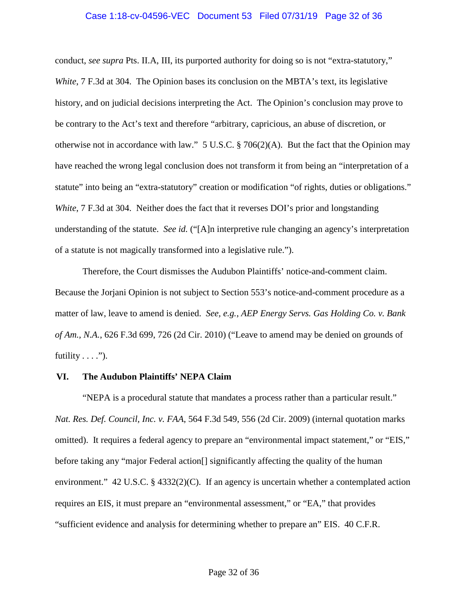#### Case 1:18-cv-04596-VEC Document 53 Filed 07/31/19 Page 32 of 36

conduct, *see supra* Pts. II.A, III, its purported authority for doing so is not "extra-statutory," *White*, 7 F.3d at 304. The Opinion bases its conclusion on the MBTA's text, its legislative history, and on judicial decisions interpreting the Act. The Opinion's conclusion may prove to be contrary to the Act's text and therefore "arbitrary, capricious, an abuse of discretion, or otherwise not in accordance with law." 5 U.S.C. § 706(2)(A). But the fact that the Opinion may have reached the wrong legal conclusion does not transform it from being an "interpretation of a statute" into being an "extra-statutory" creation or modification "of rights, duties or obligations." *White*, 7 F.3d at 304. Neither does the fact that it reverses DOI's prior and longstanding understanding of the statute. *See id.* ("[A]n interpretive rule changing an agency's interpretation of a statute is not magically transformed into a legislative rule.").

Therefore, the Court dismisses the Audubon Plaintiffs' notice-and-comment claim. Because the Jorjani Opinion is not subject to Section 553's notice-and-comment procedure as a matter of law, leave to amend is denied. *See, e.g.*, *AEP Energy Servs. Gas Holding Co. v. Bank of Am., N.A.*, 626 F.3d 699, 726 (2d Cir. 2010) ("Leave to amend may be denied on grounds of futility  $\dots$ .").

#### **VI. The Audubon Plaintiffs' NEPA Claim**

"NEPA is a procedural statute that mandates a process rather than a particular result." *Nat. Res. Def. Council, Inc. v. FAA*, 564 F.3d 549, 556 (2d Cir. 2009) (internal quotation marks omitted). It requires a federal agency to prepare an "environmental impact statement," or "EIS," before taking any "major Federal action[] significantly affecting the quality of the human environment." 42 U.S.C. § 4332(2)(C). If an agency is uncertain whether a contemplated action requires an EIS, it must prepare an "environmental assessment," or "EA," that provides "sufficient evidence and analysis for determining whether to prepare an" EIS. 40 C.F.R.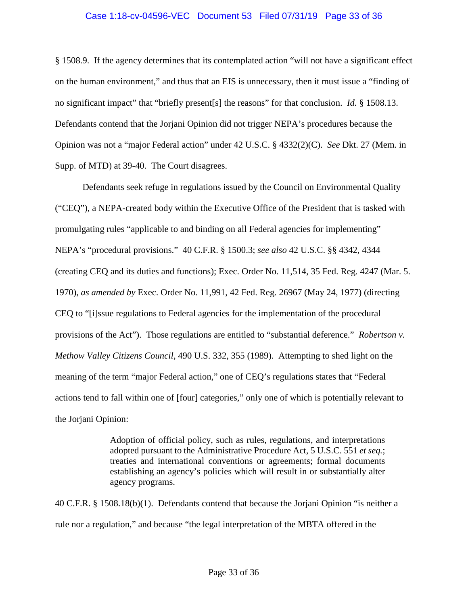# Case 1:18-cv-04596-VEC Document 53 Filed 07/31/19 Page 33 of 36

§ 1508.9. If the agency determines that its contemplated action "will not have a significant effect on the human environment," and thus that an EIS is unnecessary, then it must issue a "finding of no significant impact" that "briefly present[s] the reasons" for that conclusion. *Id.* § 1508.13. Defendants contend that the Jorjani Opinion did not trigger NEPA's procedures because the Opinion was not a "major Federal action" under 42 U.S.C. § 4332(2)(C). *See* Dkt. 27 (Mem. in Supp. of MTD) at 39-40. The Court disagrees.

Defendants seek refuge in regulations issued by the Council on Environmental Quality ("CEQ"), a NEPA-created body within the Executive Office of the President that is tasked with promulgating rules "applicable to and binding on all Federal agencies for implementing" NEPA's "procedural provisions." 40 C.F.R. § 1500.3; *see also* 42 U.S.C. §§ 4342, 4344 (creating CEQ and its duties and functions); Exec. Order No. 11,514, 35 Fed. Reg. 4247 (Mar. 5. 1970), *as amended by* Exec. Order No. 11,991, 42 Fed. Reg. 26967 (May 24, 1977) (directing CEQ to "[i]ssue regulations to Federal agencies for the implementation of the procedural provisions of the Act"). Those regulations are entitled to "substantial deference." *Robertson v. Methow Valley Citizens Council*, 490 U.S. 332, 355 (1989). Attempting to shed light on the meaning of the term "major Federal action," one of CEQ's regulations states that "Federal actions tend to fall within one of [four] categories," only one of which is potentially relevant to the Jorjani Opinion:

> Adoption of official policy, such as rules, regulations, and interpretations adopted pursuant to the Administrative Procedure Act, 5 U.S.C. 551 *et seq.*; treaties and international conventions or agreements; formal documents establishing an agency's policies which will result in or substantially alter agency programs.

40 C.F.R. § 1508.18(b)(1). Defendants contend that because the Jorjani Opinion "is neither a rule nor a regulation," and because "the legal interpretation of the MBTA offered in the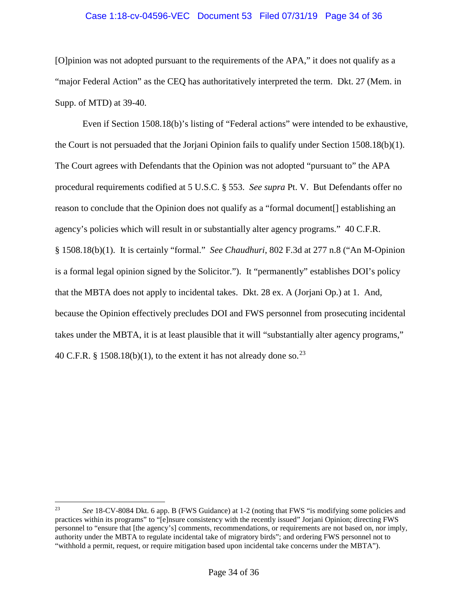# Case 1:18-cv-04596-VEC Document 53 Filed 07/31/19 Page 34 of 36

[O]pinion was not adopted pursuant to the requirements of the APA," it does not qualify as a "major Federal Action" as the CEQ has authoritatively interpreted the term. Dkt. 27 (Mem. in Supp. of MTD) at 39-40.

Even if Section 1508.18(b)'s listing of "Federal actions" were intended to be exhaustive, the Court is not persuaded that the Jorjani Opinion fails to qualify under Section 1508.18(b)(1). The Court agrees with Defendants that the Opinion was not adopted "pursuant to" the APA procedural requirements codified at 5 U.S.C. § 553. *See supra* Pt. V. But Defendants offer no reason to conclude that the Opinion does not qualify as a "formal document[] establishing an agency's policies which will result in or substantially alter agency programs." 40 C.F.R. § 1508.18(b)(1). It is certainly "formal." *See Chaudhuri*, 802 F.3d at 277 n.8 ("An M-Opinion is a formal legal opinion signed by the Solicitor."). It "permanently" establishes DOI's policy that the MBTA does not apply to incidental takes. Dkt. 28 ex. A (Jorjani Op.) at 1. And, because the Opinion effectively precludes DOI and FWS personnel from prosecuting incidental takes under the MBTA, it is at least plausible that it will "substantially alter agency programs," 40 C.F.R. § 1508.18(b)(1), to the extent it has not already done so.<sup>23</sup>

 $\overline{a}$ 

<sup>23</sup> *See* 18-CV-8084 Dkt. 6 app. B (FWS Guidance) at 1-2 (noting that FWS "is modifying some policies and practices within its programs" to "[e]nsure consistency with the recently issued" Jorjani Opinion; directing FWS personnel to "ensure that [the agency's] comments, recommendations, or requirements are not based on, nor imply, authority under the MBTA to regulate incidental take of migratory birds"; and ordering FWS personnel not to "withhold a permit, request, or require mitigation based upon incidental take concerns under the MBTA").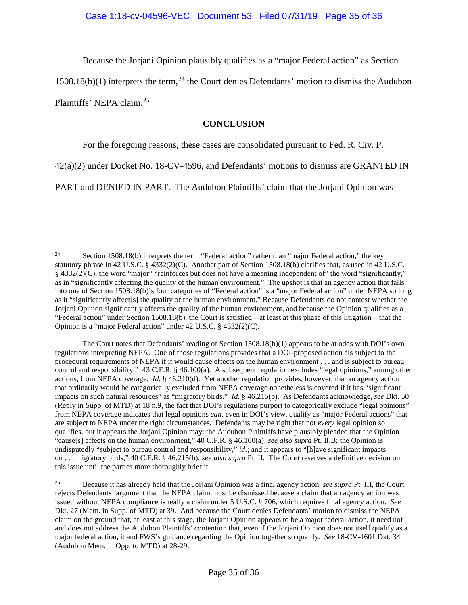Because the Jorjani Opinion plausibly qualifies as a "major Federal action" as Section

 $1508.18(b)(1)$  interprets the term,<sup>24</sup> the Court denies Defendants' motion to dismiss the Audubon

Plaintiffs' NEPA claim.25

# **CONCLUSION**

For the foregoing reasons, these cases are consolidated pursuant to Fed. R. Civ. P.

42(a)(2) under Docket No. 18-CV-4596, and Defendants' motions to dismiss are GRANTED IN

PART and DENIED IN PART. The Audubon Plaintiffs' claim that the Jorjani Opinion was

The Court notes that Defendants' reading of Section 1508.18(b)(1) appears to be at odds with DOI's own regulations interpreting NEPA. One of those regulations provides that a DOI-proposed action "is subject to the procedural requirements of NEPA if it would cause effects on the human environment . . . and is subject to bureau control and responsibility." 43 C.F.R. § 46.100(a). A subsequent regulation excludes "legal opinions," among other actions, from NEPA coverage. *Id.* § 46.210(d). Yet another regulation provides, however, that an agency action that ordinarily would be categorically excluded from NEPA coverage nonetheless is covered if it has "significant impacts on such natural resources" as "migratory birds." *Id.* § 46.215(b). As Defendants acknowledge, *see* Dkt. 50 (Reply in Supp. of MTD) at 18 n.9, the fact that DOI's regulations purport to categorically exclude "legal opinions" from NEPA coverage indicates that legal opinions *can*, even in DOI's view, qualify as "major Federal actions" that are subject to NEPA under the right circumstances. Defendants may be right that not *every* legal opinion so qualifies, but it appears the Jorjani Opinion may: the Audubon Plaintiffs have plausibly pleaded that the Opinion "cause[s] effects on the human environment," 40 C.F.R. § 46.100(a); *see also supra* Pt. II.B; the Opinion is undisputedly "subject to bureau control and responsibility," *id.*; and it appears to "[h]ave significant impacts on . . . migratory birds," 40 C.F.R. § 46.215(b); *see also supra* Pt. II. The Court reserves a definitive decision on this issue until the parties more thoroughly brief it.

 $\overline{a}$ <sup>24</sup> Section 1508.18(b) interprets the term "Federal action" rather than "major Federal action," the key statutory phrase in 42 U.S.C. § 4332(2)(C). Another part of Section 1508.18(b) clarifies that, as used in 42 U.S.C.  $§$  4332(2)(C), the word "major" "reinforces but does not have a meaning independent of" the word "significantly," as in "significantly affecting the quality of the human environment." The upshot is that an agency action that falls into one of Section 1508.18(b)'s four categories of "Federal action" is a "major Federal action" under NEPA so long as it "significantly affect[s] the quality of the human environment." Because Defendants do not contest whether the Jorjani Opinion significantly affects the quality of the human environment, and because the Opinion qualifies as a "Federal action" under Section 1508.18(b), the Court is satisfied—at least at this phase of this litigation—that the Opinion is a "major Federal action" under 42 U.S.C. § 4332(2)(C).

<sup>25</sup> Because it has already held that the Jorjani Opinion was a final agency action, *see supra* Pt. III, the Court rejects Defendants' argument that the NEPA claim must be dismissed because a claim that an agency action was issued without NEPA compliance is really a claim under 5 U.S.C. § 706, which requires final agency action. *See*  Dkt. 27 (Mem. in Supp. of MTD) at 39. And because the Court denies Defendants' motion to dismiss the NEPA claim on the ground that, at least at this stage, the Jorjani Opinion appears to be a major federal action, it need not and does not address the Audubon Plaintiffs' contention that, even if the Jorjani Opinion does not itself qualify as a major federal action, it and FWS's guidance regarding the Opinion together so qualify. *See* 18-CV-4601 Dkt. 34 (Audubon Mem. in Opp. to MTD) at 28-29.